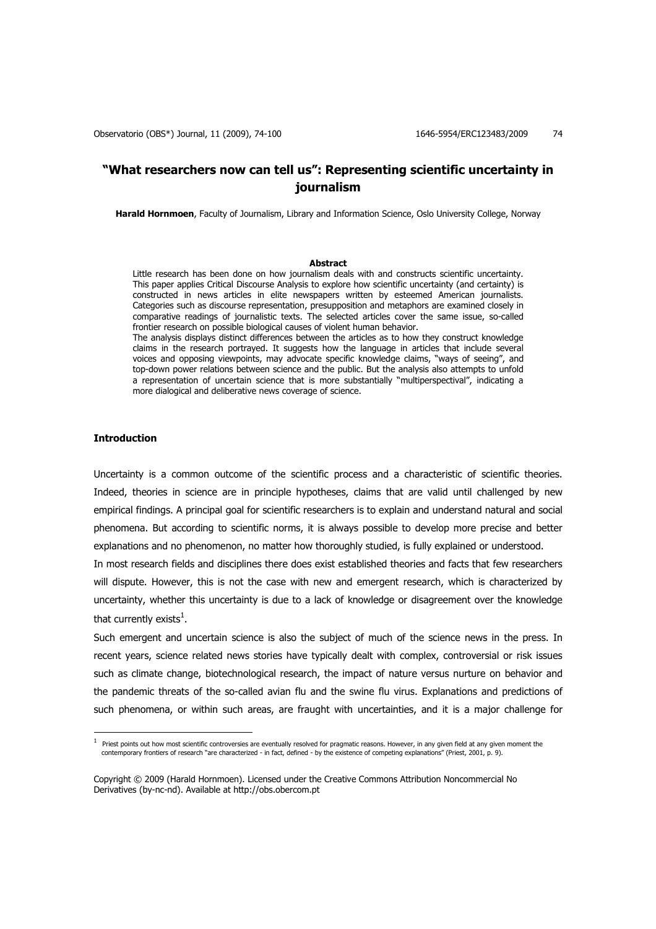# **"What researchers now can tell us": Representing scientific uncertainty in journalism**

**Harald Hornmoen**, Faculty of Journalism, Library and Information Science, Oslo University College, Norway

### **Abstract**

Little research has been done on how journalism deals with and constructs scientific uncertainty. This paper applies Critical Discourse Analysis to explore how scientific uncertainty (and certainty) is constructed in news articles in elite newspapers written by esteemed American journalists. Categories such as discourse representation, presupposition and metaphors are examined closely in comparative readings of journalistic texts. The selected articles cover the same issue, so-called frontier research on possible biological causes of violent human behavior. The analysis displays distinct differences between the articles as to how they construct knowledge

claims in the research portrayed. It suggests how the language in articles that include several voices and opposing viewpoints, may advocate specific knowledge claims, "ways of seeing", and top-down power relations between science and the public. But the analysis also attempts to unfold a representation of uncertain science that is more substantially "multiperspectival", indicating a more dialogical and deliberative news coverage of science.

## **Introduction**

 $\overline{a}$ 

Uncertainty is a common outcome of the scientific process and a characteristic of scientific theories. Indeed, theories in science are in principle hypotheses, claims that are valid until challenged by new empirical findings. A principal goal for scientific researchers is to explain and understand natural and social phenomena. But according to scientific norms, it is always possible to develop more precise and better explanations and no phenomenon, no matter how thoroughly studied, is fully explained or understood.

In most research fields and disciplines there does exist established theories and facts that few researchers will dispute. However, this is not the case with new and emergent research, which is characterized by uncertainty, whether this uncertainty is due to a lack of knowledge or disagreement over the knowledge that currently exists<sup>1</sup>.

Such emergent and uncertain science is also the subject of much of the science news in the press. In recent years, science related news stories have typically dealt with complex, controversial or risk issues such as climate change, biotechnological research, the impact of nature versus nurture on behavior and the pandemic threats of the so-called avian flu and the swine flu virus. Explanations and predictions of such phenomena, or within such areas, are fraught with uncertainties, and it is a major challenge for

<sup>1</sup> Priest points out how most scientific controversies are eventually resolved for pragmatic reasons. However, in any given field at any given moment the contemporary frontiers of research "are characterized - in fact, defined - by the existence of competing explanations" (Priest, 2001, p. 9).

Copyright © 2009 (Harald Hornmoen). Licensed under the Creative Commons Attribution Noncommercial No Derivatives (by-nc-nd). Available at http://obs.obercom.pt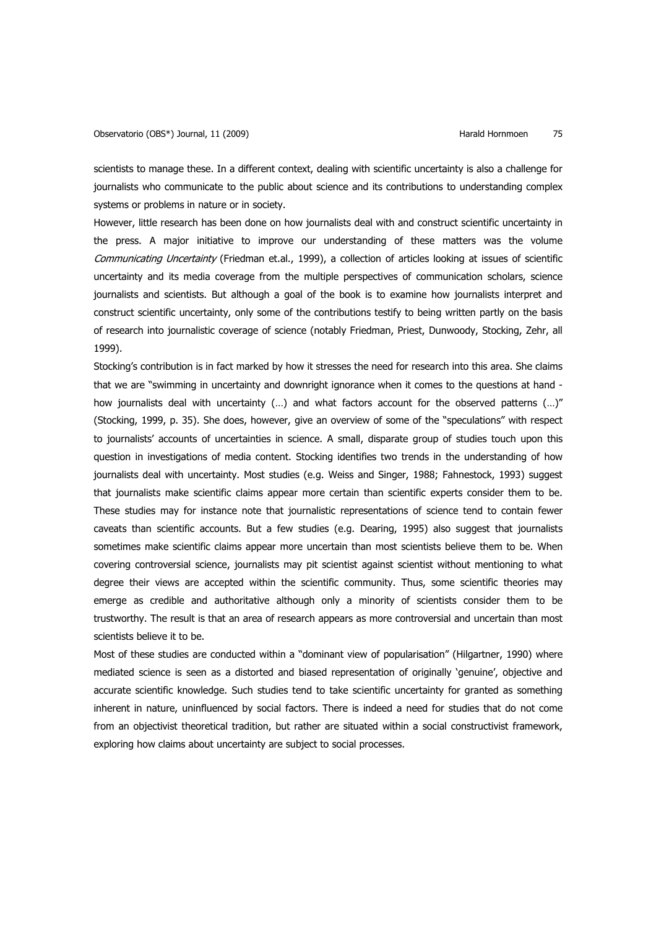scientists to manage these. In a different context, dealing with scientific uncertainty is also a challenge for journalists who communicate to the public about science and its contributions to understanding complex systems or problems in nature or in society.

However, little research has been done on how journalists deal with and construct scientific uncertainty in the press. A major initiative to improve our understanding of these matters was the volume Communicating Uncertainty (Friedman et.al., 1999), a collection of articles looking at issues of scientific uncertainty and its media coverage from the multiple perspectives of communication scholars, science journalists and scientists. But although a goal of the book is to examine how journalists interpret and construct scientific uncertainty, only some of the contributions testify to being written partly on the basis of research into journalistic coverage of science (notably Friedman, Priest, Dunwoody, Stocking, Zehr, all 1999).

Stocking's contribution is in fact marked by how it stresses the need for research into this area. She claims that we are "swimming in uncertainty and downright ignorance when it comes to the questions at hand how journalists deal with uncertainty (...) and what factors account for the observed patterns (...)" (Stocking, 1999, p. 35). She does, however, give an overview of some of the "speculations" with respect to journalists' accounts of uncertainties in science. A small, disparate group of studies touch upon this question in investigations of media content. Stocking identifies two trends in the understanding of how journalists deal with uncertainty. Most studies (e.g. Weiss and Singer, 1988; Fahnestock, 1993) suggest that journalists make scientific claims appear more certain than scientific experts consider them to be. These studies may for instance note that journalistic representations of science tend to contain fewer caveats than scientific accounts. But a few studies (e.g. Dearing, 1995) also suggest that journalists sometimes make scientific claims appear more uncertain than most scientists believe them to be. When covering controversial science, journalists may pit scientist against scientist without mentioning to what degree their views are accepted within the scientific community. Thus, some scientific theories may emerge as credible and authoritative although only a minority of scientists consider them to be trustworthy. The result is that an area of research appears as more controversial and uncertain than most scientists believe it to be.

Most of these studies are conducted within a "dominant view of popularisation" (Hilgartner, 1990) where mediated science is seen as a distorted and biased representation of originally 'genuine', objective and accurate scientific knowledge. Such studies tend to take scientific uncertainty for granted as something inherent in nature, uninfluenced by social factors. There is indeed a need for studies that do not come from an objectivist theoretical tradition, but rather are situated within a social constructivist framework, exploring how claims about uncertainty are subject to social processes.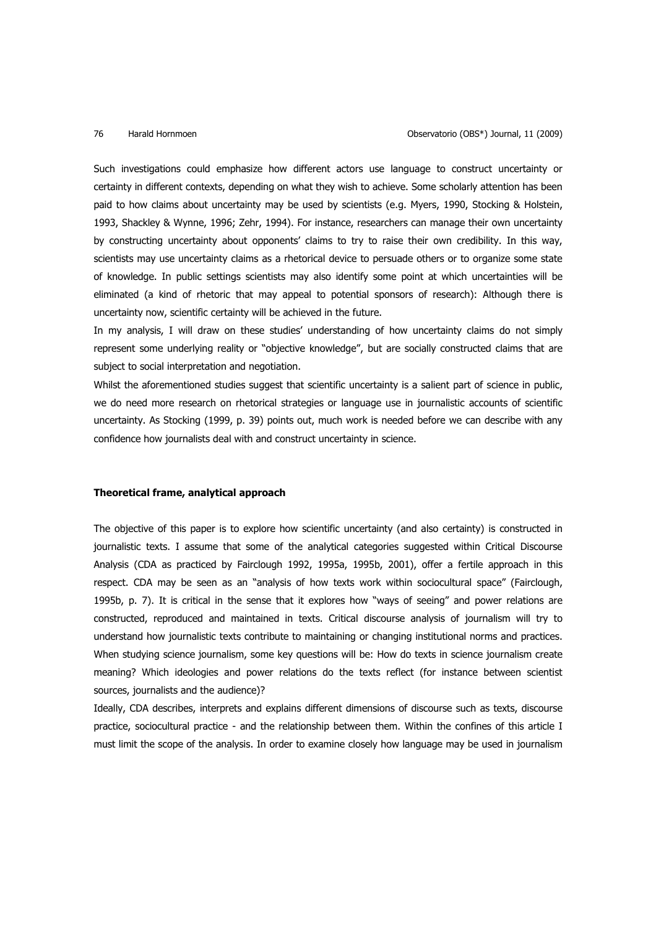Such investigations could emphasize how different actors use language to construct uncertainty or certainty in different contexts, depending on what they wish to achieve. Some scholarly attention has been paid to how claims about uncertainty may be used by scientists (e.g. Myers, 1990, Stocking & Holstein, 1993, Shackley & Wynne, 1996; Zehr, 1994). For instance, researchers can manage their own uncertainty by constructing uncertainty about opponents' claims to try to raise their own credibility. In this way, scientists may use uncertainty claims as a rhetorical device to persuade others or to organize some state of knowledge. In public settings scientists may also identify some point at which uncertainties will be eliminated (a kind of rhetoric that may appeal to potential sponsors of research): Although there is uncertainty now, scientific certainty will be achieved in the future.

In my analysis, I will draw on these studies' understanding of how uncertainty claims do not simply represent some underlying reality or "objective knowledge", but are socially constructed claims that are subject to social interpretation and negotiation.

Whilst the aforementioned studies suggest that scientific uncertainty is a salient part of science in public, we do need more research on rhetorical strategies or language use in journalistic accounts of scientific uncertainty. As Stocking (1999, p. 39) points out, much work is needed before we can describe with any confidence how journalists deal with and construct uncertainty in science.

### **Theoretical frame, analytical approach**

The objective of this paper is to explore how scientific uncertainty (and also certainty) is constructed in journalistic texts. I assume that some of the analytical categories suggested within Critical Discourse Analysis (CDA as practiced by Fairclough 1992, 1995a, 1995b, 2001), offer a fertile approach in this respect. CDA may be seen as an "analysis of how texts work within sociocultural space" (Fairclough, 1995b, p. 7). It is critical in the sense that it explores how "ways of seeing" and power relations are constructed, reproduced and maintained in texts. Critical discourse analysis of journalism will try to understand how journalistic texts contribute to maintaining or changing institutional norms and practices. When studying science journalism, some key questions will be: How do texts in science journalism create meaning? Which ideologies and power relations do the texts reflect (for instance between scientist sources, journalists and the audience)?

Ideally, CDA describes, interprets and explains different dimensions of discourse such as texts, discourse practice, sociocultural practice - and the relationship between them. Within the confines of this article I must limit the scope of the analysis. In order to examine closely how language may be used in journalism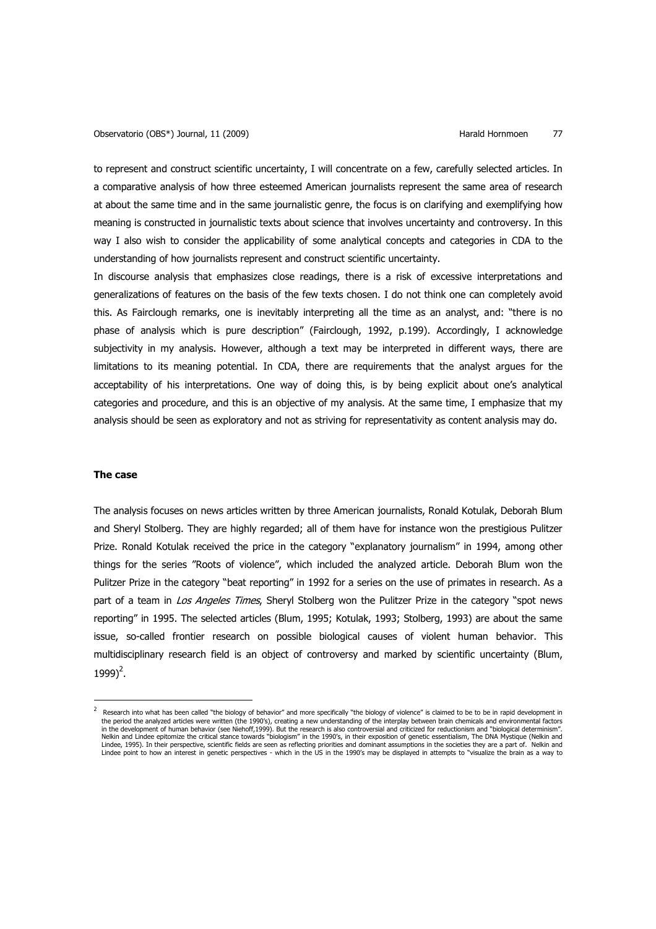to represent and construct scientific uncertainty, I will concentrate on a few, carefully selected articles. In a comparative analysis of how three esteemed American journalists represent the same area of research at about the same time and in the same journalistic genre, the focus is on clarifying and exemplifying how meaning is constructed in journalistic texts about science that involves uncertainty and controversy. In this way I also wish to consider the applicability of some analytical concepts and categories in CDA to the understanding of how journalists represent and construct scientific uncertainty.

In discourse analysis that emphasizes close readings, there is a risk of excessive interpretations and generalizations of features on the basis of the few texts chosen. I do not think one can completely avoid this. As Fairclough remarks, one is inevitably interpreting all the time as an analyst, and: "there is no phase of analysis which is pure description" (Fairclough, 1992, p.199). Accordingly, I acknowledge subjectivity in my analysis. However, although a text may be interpreted in different ways, there are limitations to its meaning potential. In CDA, there are requirements that the analyst argues for the acceptability of his interpretations. One way of doing this, is by being explicit about one's analytical categories and procedure, and this is an objective of my analysis. At the same time, I emphasize that my analysis should be seen as exploratory and not as striving for representativity as content analysis may do.

### **The case**

l

The analysis focuses on news articles written by three American journalists, Ronald Kotulak, Deborah Blum and Sheryl Stolberg. They are highly regarded; all of them have for instance won the prestigious Pulitzer Prize. Ronald Kotulak received the price in the category "explanatory journalism" in 1994, among other things for the series "Roots of violence", which included the analyzed article. Deborah Blum won the Pulitzer Prize in the category "beat reporting" in 1992 for a series on the use of primates in research. As a part of a team in *Los Angeles Times*, Sheryl Stolberg won the Pulitzer Prize in the category "spot news reporting" in 1995. The selected articles (Blum, 1995; Kotulak, 1993; Stolberg, 1993) are about the same issue, so-called frontier research on possible biological causes of violent human behavior. This multidisciplinary research field is an object of controversy and marked by scientific uncertainty (Blum,  $1999)^2$ .

<sup>2</sup> Research into what has been called "the biology of behavior" and more specifically "the biology of violence" is claimed to be to be in rapid development in the period the analyzed articles were written (the 1990's), creating a new understanding of the interplay between brain chemicals and environmental factors in the development of human behavior (see Niehoff,1999). But the research is also controversial and criticized for reductionism and "biological determinism". Nelkin and Lindee epitomize the critical stance towards "biologism" in the 1990's, in their exposition of genetic essentialism, The DNA Mystique (Nelkin and Lindee, 1995). In their perspective, scientific fields are seen as reflecting priorities and dominant assumptions in the societies they are a part of. Nelkin and<br>Lindee point to how an interest in genetic perspectives - w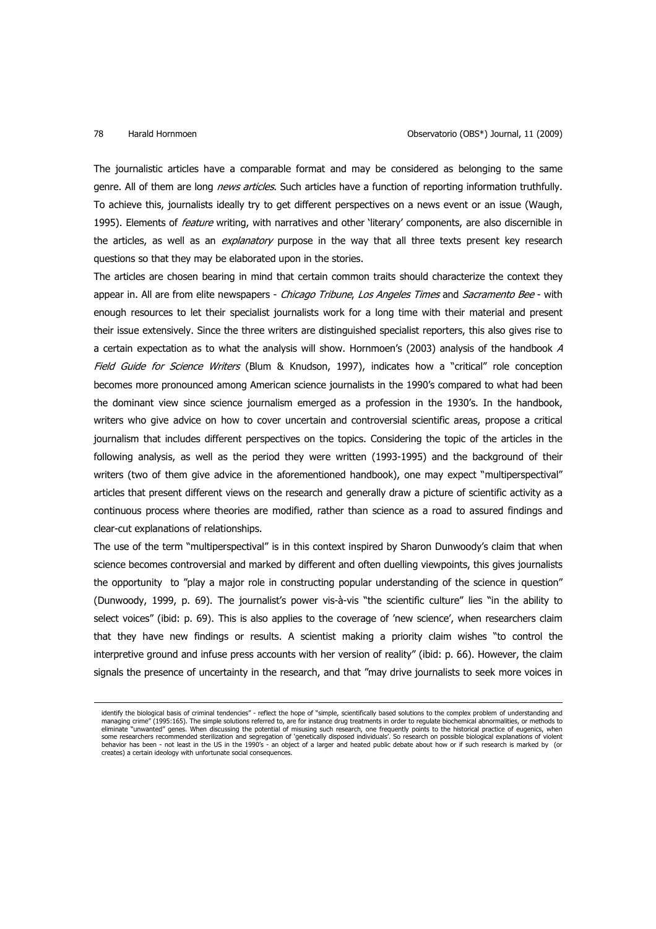$\overline{a}$ 

The journalistic articles have a comparable format and may be considered as belonging to the same genre. All of them are long news articles. Such articles have a function of reporting information truthfully. To achieve this, journalists ideally try to get different perspectives on a news event or an issue (Waugh, 1995). Elements of *feature* writing, with narratives and other 'literary' components, are also discernible in the articles, as well as an *explanatory* purpose in the way that all three texts present key research questions so that they may be elaborated upon in the stories.

The articles are chosen bearing in mind that certain common traits should characterize the context they appear in. All are from elite newspapers - Chicago Tribune, Los Angeles Times and Sacramento Bee - with enough resources to let their specialist journalists work for a long time with their material and present their issue extensively. Since the three writers are distinguished specialist reporters, this also gives rise to a certain expectation as to what the analysis will show. Hornmoen's (2003) analysis of the handbook A Field Guide for Science Writers (Blum & Knudson, 1997), indicates how a "critical" role conception becomes more pronounced among American science journalists in the 1990's compared to what had been the dominant view since science journalism emerged as a profession in the 1930's. In the handbook, writers who give advice on how to cover uncertain and controversial scientific areas, propose a critical journalism that includes different perspectives on the topics. Considering the topic of the articles in the following analysis, as well as the period they were written (1993-1995) and the background of their writers (two of them give advice in the aforementioned handbook), one may expect "multiperspectival" articles that present different views on the research and generally draw a picture of scientific activity as a continuous process where theories are modified, rather than science as a road to assured findings and clear-cut explanations of relationships.

The use of the term "multiperspectival" is in this context inspired by Sharon Dunwoody's claim that when science becomes controversial and marked by different and often duelling viewpoints, this gives journalists the opportunity to "play a major role in constructing popular understanding of the science in question" (Dunwoody, 1999, p. 69). The journalist's power vis-à-vis "the scientific culture" lies "in the ability to select voices" (ibid: p. 69). This is also applies to the coverage of 'new science', when researchers claim that they have new findings or results. A scientist making a priority claim wishes "to control the interpretive ground and infuse press accounts with her version of reality" (ibid: p. 66). However, the claim signals the presence of uncertainty in the research, and that "may drive journalists to seek more voices in

identify the biological basis of criminal tendencies" - reflect the hope of "simple, scientifically based solutions to the complex problem of understanding and managing crime" (1995:165). The simple solutions referred to, are for instance drug treatments in order to regulate biochemical abnormalities, or methods to eliminate "unwanted" genes. When discussing the potential of misusing such research, one frequently points to the historical practice of eugenics, when some researchers recommended sterilization and segregation of 'genetically disposed individuals'. So research on possible biological explanations of violent behavior has been - not least in the US in the 1990's - an object of a larger and heated public debate about how or if such research is marked by (or creates) a certain ideology with unfortunate social consequences.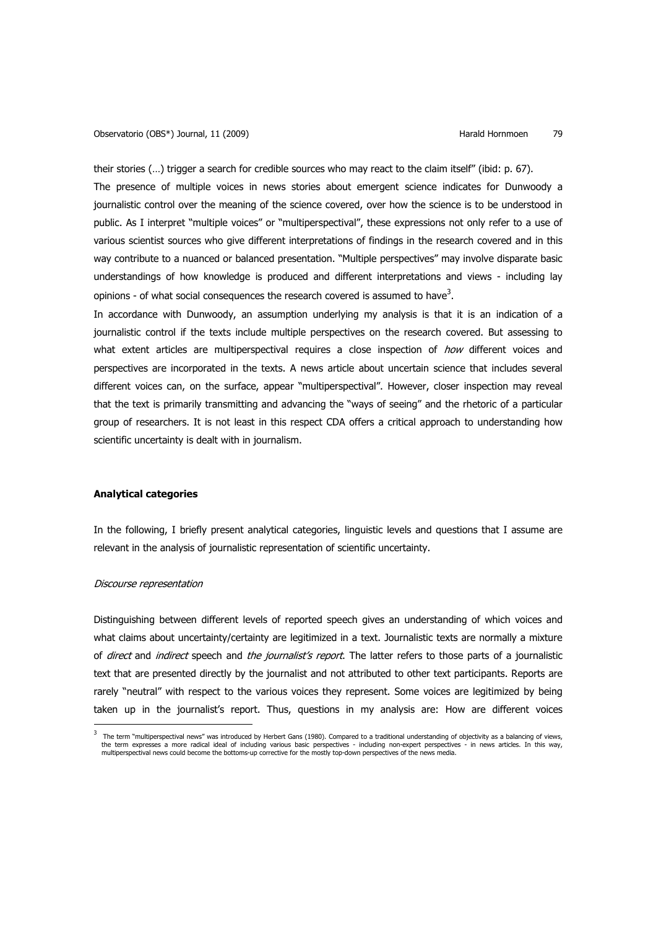their stories (…) trigger a search for credible sources who may react to the claim itself" (ibid: p. 67). The presence of multiple voices in news stories about emergent science indicates for Dunwoody a journalistic control over the meaning of the science covered, over how the science is to be understood in public. As I interpret "multiple voices" or "multiperspectival", these expressions not only refer to a use of various scientist sources who give different interpretations of findings in the research covered and in this way contribute to a nuanced or balanced presentation. "Multiple perspectives" may involve disparate basic understandings of how knowledge is produced and different interpretations and views - including lay opinions - of what social consequences the research covered is assumed to have<sup>3</sup>.

In accordance with Dunwoody, an assumption underlying my analysis is that it is an indication of a journalistic control if the texts include multiple perspectives on the research covered. But assessing to what extent articles are multiperspectival requires a close inspection of *how* different voices and perspectives are incorporated in the texts. A news article about uncertain science that includes several different voices can, on the surface, appear "multiperspectival". However, closer inspection may reveal that the text is primarily transmitting and advancing the "ways of seeing" and the rhetoric of a particular group of researchers. It is not least in this respect CDA offers a critical approach to understanding how scientific uncertainty is dealt with in journalism.

## **Analytical categories**

In the following, I briefly present analytical categories, linguistic levels and questions that I assume are relevant in the analysis of journalistic representation of scientific uncertainty.

### Discourse representation

Distinguishing between different levels of reported speech gives an understanding of which voices and what claims about uncertainty/certainty are legitimized in a text. Journalistic texts are normally a mixture of direct and indirect speech and the journalist's report. The latter refers to those parts of a journalistic text that are presented directly by the journalist and not attributed to other text participants. Reports are rarely "neutral" with respect to the various voices they represent. Some voices are legitimized by being taken up in the journalist's report. Thus, questions in my analysis are: How are different voices l

 $3$  The term "multiperspectival news" was introduced by Herbert Gans (1980). Compared to a traditional understanding of objectivity as a balancing of views, the term expresses a more radical ideal of including various basic perspectives - including non-expert perspectives - in news articles. In this way,<br>multiperspectival news could become the bottoms-up corrective for the mos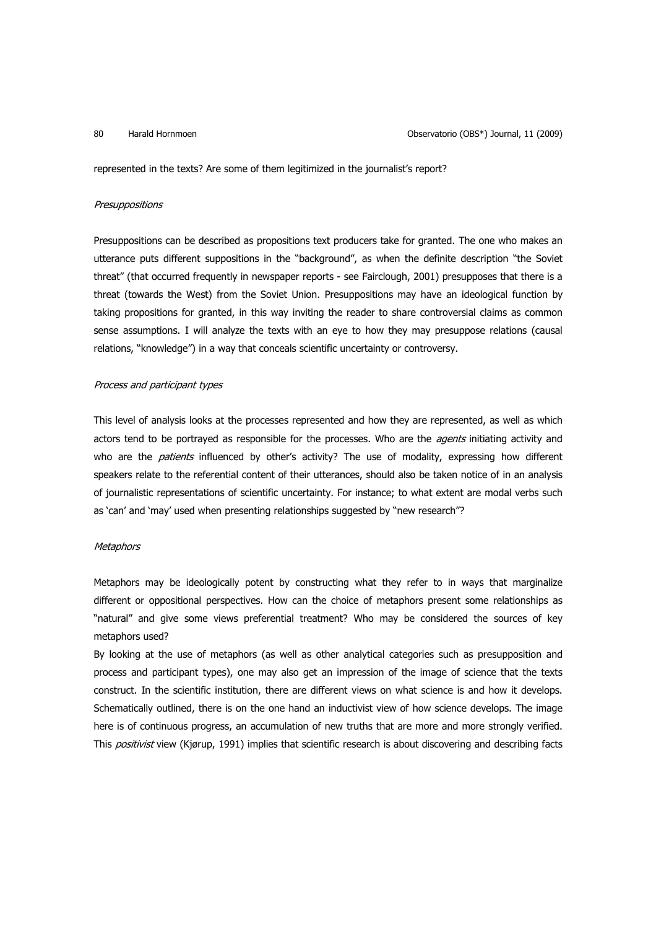represented in the texts? Are some of them legitimized in the journalist's report?

## **Presuppositions**

Presuppositions can be described as propositions text producers take for granted. The one who makes an utterance puts different suppositions in the "background", as when the definite description "the Soviet threat" (that occurred frequently in newspaper reports - see Fairclough, 2001) presupposes that there is a threat (towards the West) from the Soviet Union. Presuppositions may have an ideological function by taking propositions for granted, in this way inviting the reader to share controversial claims as common sense assumptions. I will analyze the texts with an eye to how they may presuppose relations (causal relations, "knowledge") in a way that conceals scientific uncertainty or controversy.

## Process and participant types

This level of analysis looks at the processes represented and how they are represented, as well as which actors tend to be portrayed as responsible for the processes. Who are the *agents* initiating activity and who are the *patients* influenced by other's activity? The use of modality, expressing how different speakers relate to the referential content of their utterances, should also be taken notice of in an analysis of journalistic representations of scientific uncertainty. For instance; to what extent are modal verbs such as 'can' and 'may' used when presenting relationships suggested by "new research"?

### **Metaphors**

Metaphors may be ideologically potent by constructing what they refer to in ways that marginalize different or oppositional perspectives. How can the choice of metaphors present some relationships as "natural" and give some views preferential treatment? Who may be considered the sources of key metaphors used?

By looking at the use of metaphors (as well as other analytical categories such as presupposition and process and participant types), one may also get an impression of the image of science that the texts construct. In the scientific institution, there are different views on what science is and how it develops. Schematically outlined, there is on the one hand an inductivist view of how science develops. The image here is of continuous progress, an accumulation of new truths that are more and more strongly verified. This *positivist* view (Kjørup, 1991) implies that scientific research is about discovering and describing facts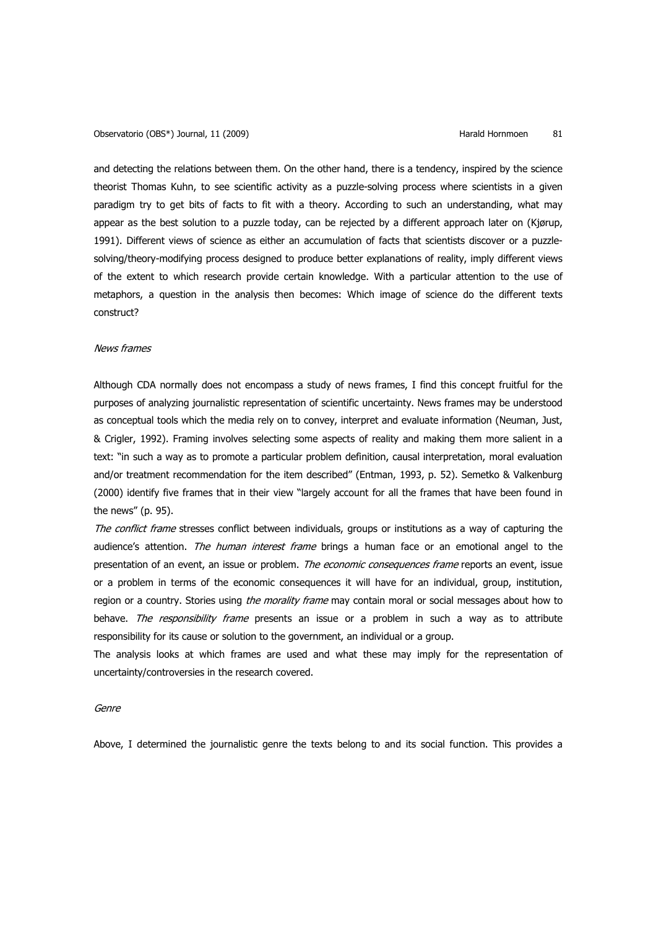## Observatorio (OBS\*) Journal, 11 (2009) de anostro de la contra establecer establecer establecer establecer establecer establecer establecer establecer establecer establecer establecer establecer establecer establecer estab

and detecting the relations between them. On the other hand, there is a tendency, inspired by the science theorist Thomas Kuhn, to see scientific activity as a puzzle-solving process where scientists in a given paradigm try to get bits of facts to fit with a theory. According to such an understanding, what may appear as the best solution to a puzzle today, can be rejected by a different approach later on (Kjørup, 1991). Different views of science as either an accumulation of facts that scientists discover or a puzzlesolving/theory-modifying process designed to produce better explanations of reality, imply different views of the extent to which research provide certain knowledge. With a particular attention to the use of metaphors, a question in the analysis then becomes: Which image of science do the different texts construct?

## News frames

Although CDA normally does not encompass a study of news frames, I find this concept fruitful for the purposes of analyzing journalistic representation of scientific uncertainty. News frames may be understood as conceptual tools which the media rely on to convey, interpret and evaluate information (Neuman, Just, & Crigler, 1992). Framing involves selecting some aspects of reality and making them more salient in a text: "in such a way as to promote a particular problem definition, causal interpretation, moral evaluation and/or treatment recommendation for the item described" (Entman, 1993, p. 52). Semetko & Valkenburg (2000) identify five frames that in their view "largely account for all the frames that have been found in the news" (p. 95).

The conflict frame stresses conflict between individuals, groups or institutions as a way of capturing the audience's attention. The human interest frame brings a human face or an emotional angel to the presentation of an event, an issue or problem. The economic consequences frame reports an event, issue or a problem in terms of the economic consequences it will have for an individual, group, institution, region or a country. Stories using *the morality frame* may contain moral or social messages about how to behave. The responsibility frame presents an issue or a problem in such a way as to attribute responsibility for its cause or solution to the government, an individual or a group.

The analysis looks at which frames are used and what these may imply for the representation of uncertainty/controversies in the research covered.

## Genre

Above, I determined the journalistic genre the texts belong to and its social function. This provides a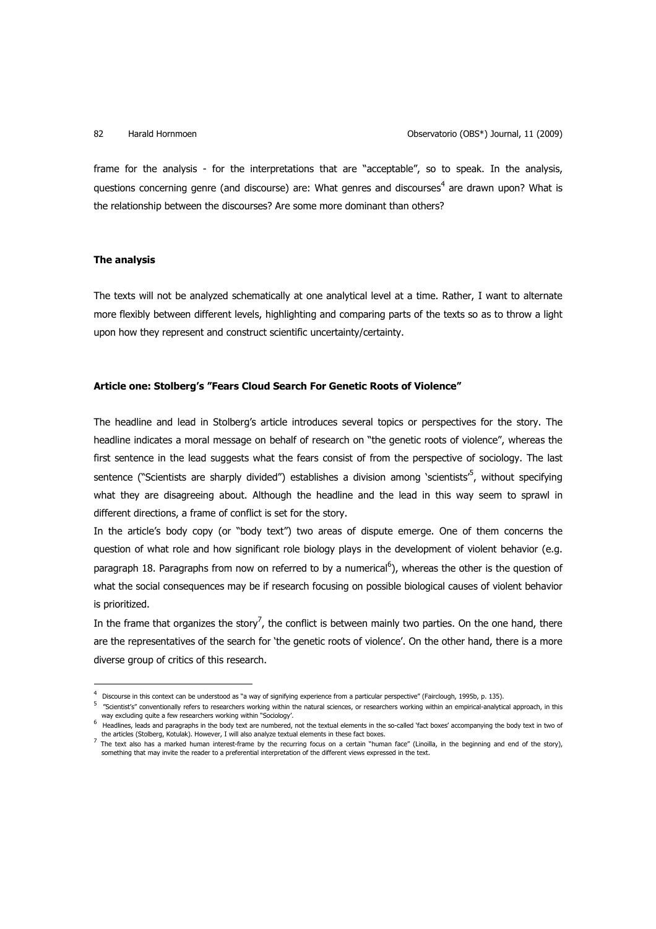frame for the analysis - for the interpretations that are "acceptable", so to speak. In the analysis, questions concerning genre (and discourse) are: What genres and discourses<sup>4</sup> are drawn upon? What is the relationship between the discourses? Are some more dominant than others?

## **The analysis**

l

The texts will not be analyzed schematically at one analytical level at a time. Rather, I want to alternate more flexibly between different levels, highlighting and comparing parts of the texts so as to throw a light upon how they represent and construct scientific uncertainty/certainty.

## **Article one: Stolberg's "Fears Cloud Search For Genetic Roots of Violence"**

The headline and lead in Stolberg's article introduces several topics or perspectives for the story. The headline indicates a moral message on behalf of research on "the genetic roots of violence", whereas the first sentence in the lead suggests what the fears consist of from the perspective of sociology. The last sentence ("Scientists are sharply divided") establishes a division among 'scientists'<sup>5</sup>, without specifying what they are disagreeing about. Although the headline and the lead in this way seem to sprawl in different directions, a frame of conflict is set for the story.

In the article's body copy (or "body text") two areas of dispute emerge. One of them concerns the question of what role and how significant role biology plays in the development of violent behavior (e.g. paragraph 18. Paragraphs from now on referred to by a numerical<sup>6</sup>), whereas the other is the question of what the social consequences may be if research focusing on possible biological causes of violent behavior is prioritized.

In the frame that organizes the story<sup>7</sup>, the conflict is between mainly two parties. On the one hand, there are the representatives of the search for 'the genetic roots of violence'. On the other hand, there is a more diverse group of critics of this research.

<sup>4</sup> Discourse in this context can be understood as "a way of signifying experience from a particular perspective" (Fairclough, 1995b, p. 135).

 $^5$  "Scientist's" conventionally refers to researchers working within the natural sciences, or researchers working within an empirical-analytical approach, in this way excluding quite a few researchers working within "Sociology'.

<sup>6</sup> Headlines, leads and paragraphs in the body text are numbered, not the textual elements in the so-called 'fact boxes' accompanying the body text in two of the articles (Stolberg, Kotulak). However, I will also analyze textual elements in these fact boxes.

 $^7$  The text also has a marked human interest-frame by the recurring focus on a certain "human face" (Linoilla, in the beginning and end of the story), something that may invite the reader to a preferential interpretation of the different views expressed in the text.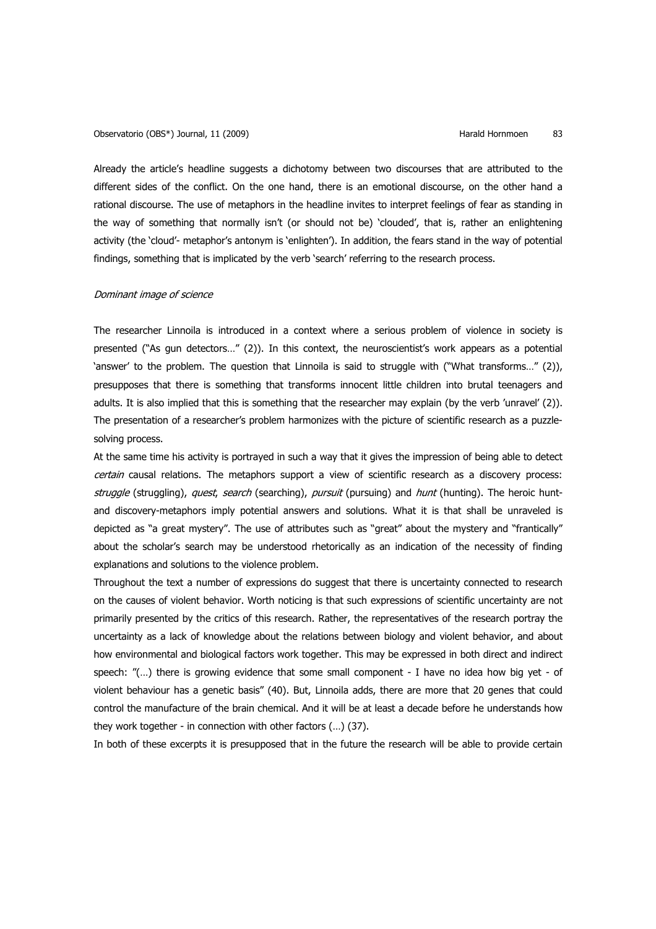## Observatorio (OBS\*) Journal, 11 (2009) entrancement and the Harald Hornmoen and B3

Already the article's headline suggests a dichotomy between two discourses that are attributed to the different sides of the conflict. On the one hand, there is an emotional discourse, on the other hand a rational discourse. The use of metaphors in the headline invites to interpret feelings of fear as standing in the way of something that normally isn't (or should not be) 'clouded', that is, rather an enlightening activity (the 'cloud'- metaphor's antonym is 'enlighten'). In addition, the fears stand in the way of potential findings, something that is implicated by the verb 'search' referring to the research process.

## Dominant image of science

The researcher Linnoila is introduced in a context where a serious problem of violence in society is presented ("As gun detectors…" (2)). In this context, the neuroscientist's work appears as a potential 'answer' to the problem. The question that Linnoila is said to struggle with ("What transforms…" (2)), presupposes that there is something that transforms innocent little children into brutal teenagers and adults. It is also implied that this is something that the researcher may explain (by the verb 'unravel' (2)). The presentation of a researcher's problem harmonizes with the picture of scientific research as a puzzlesolving process.

At the same time his activity is portrayed in such a way that it gives the impression of being able to detect certain causal relations. The metaphors support a view of scientific research as a discovery process: struggle (struggling), quest, search (searching), pursuit (pursuing) and hunt (hunting). The heroic huntand discovery-metaphors imply potential answers and solutions. What it is that shall be unraveled is depicted as "a great mystery". The use of attributes such as "great" about the mystery and "frantically" about the scholar's search may be understood rhetorically as an indication of the necessity of finding explanations and solutions to the violence problem.

Throughout the text a number of expressions do suggest that there is uncertainty connected to research on the causes of violent behavior. Worth noticing is that such expressions of scientific uncertainty are not primarily presented by the critics of this research. Rather, the representatives of the research portray the uncertainty as a lack of knowledge about the relations between biology and violent behavior, and about how environmental and biological factors work together. This may be expressed in both direct and indirect speech: "(…) there is growing evidence that some small component - I have no idea how big yet - of violent behaviour has a genetic basis" (40). But, Linnoila adds, there are more that 20 genes that could control the manufacture of the brain chemical. And it will be at least a decade before he understands how they work together - in connection with other factors (…) (37).

In both of these excerpts it is presupposed that in the future the research will be able to provide certain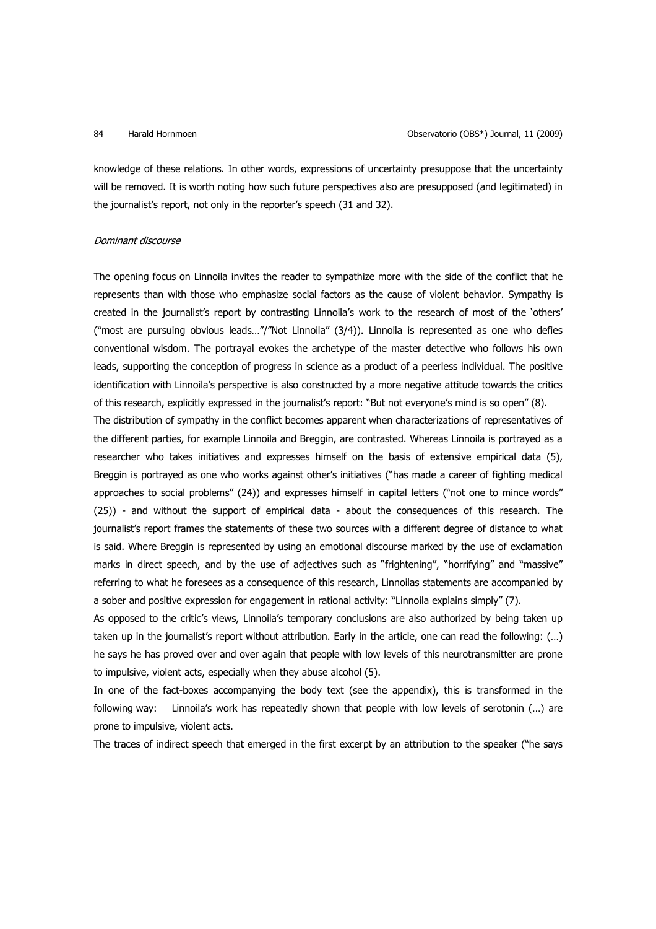knowledge of these relations. In other words, expressions of uncertainty presuppose that the uncertainty will be removed. It is worth noting how such future perspectives also are presupposed (and legitimated) in the journalist's report, not only in the reporter's speech (31 and 32).

## Dominant discourse

The opening focus on Linnoila invites the reader to sympathize more with the side of the conflict that he represents than with those who emphasize social factors as the cause of violent behavior. Sympathy is created in the journalist's report by contrasting Linnoila's work to the research of most of the 'others' ("most are pursuing obvious leads…"/"Not Linnoila" (3/4)). Linnoila is represented as one who defies conventional wisdom. The portrayal evokes the archetype of the master detective who follows his own leads, supporting the conception of progress in science as a product of a peerless individual. The positive identification with Linnoila's perspective is also constructed by a more negative attitude towards the critics of this research, explicitly expressed in the journalist's report: "But not everyone's mind is so open" (8).

The distribution of sympathy in the conflict becomes apparent when characterizations of representatives of the different parties, for example Linnoila and Breggin, are contrasted. Whereas Linnoila is portrayed as a researcher who takes initiatives and expresses himself on the basis of extensive empirical data (5), Breggin is portrayed as one who works against other's initiatives ("has made a career of fighting medical approaches to social problems" (24)) and expresses himself in capital letters ("not one to mince words" (25)) - and without the support of empirical data - about the consequences of this research. The journalist's report frames the statements of these two sources with a different degree of distance to what is said. Where Breggin is represented by using an emotional discourse marked by the use of exclamation marks in direct speech, and by the use of adjectives such as "frightening", "horrifying" and "massive" referring to what he foresees as a consequence of this research, Linnoilas statements are accompanied by a sober and positive expression for engagement in rational activity: "Linnoila explains simply" (7).

As opposed to the critic's views, Linnoila's temporary conclusions are also authorized by being taken up taken up in the journalist's report without attribution. Early in the article, one can read the following: (…) he says he has proved over and over again that people with low levels of this neurotransmitter are prone to impulsive, violent acts, especially when they abuse alcohol (5).

In one of the fact-boxes accompanying the body text (see the appendix), this is transformed in the following way: Linnoila's work has repeatedly shown that people with low levels of serotonin (…) are prone to impulsive, violent acts.

The traces of indirect speech that emerged in the first excerpt by an attribution to the speaker ("he says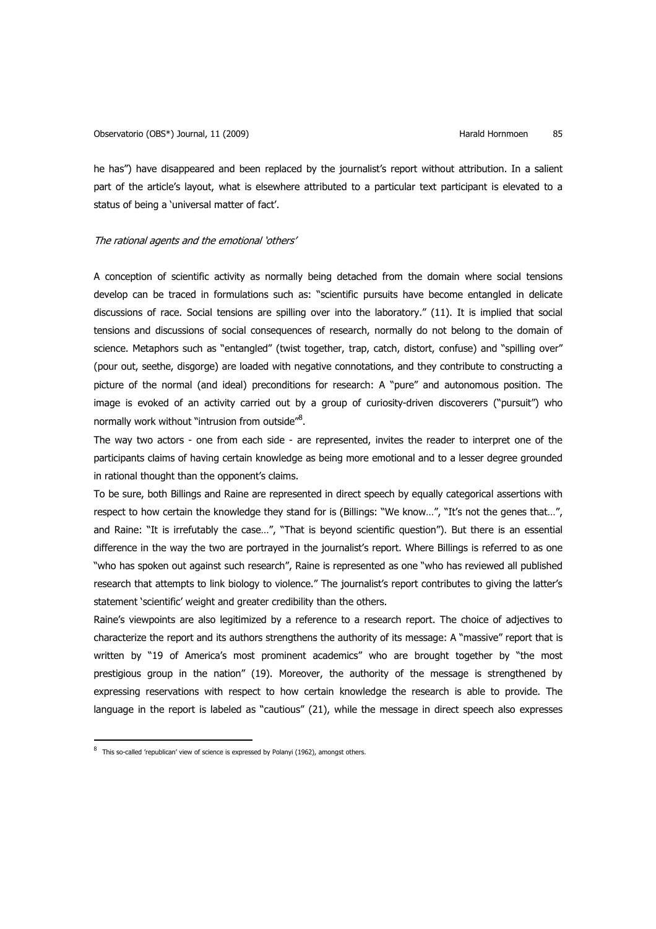he has") have disappeared and been replaced by the journalist's report without attribution. In a salient part of the article's layout, what is elsewhere attributed to a particular text participant is elevated to a status of being a 'universal matter of fact'.

### The rational agents and the emotional 'others'

A conception of scientific activity as normally being detached from the domain where social tensions develop can be traced in formulations such as: "scientific pursuits have become entangled in delicate discussions of race. Social tensions are spilling over into the laboratory." (11). It is implied that social tensions and discussions of social consequences of research, normally do not belong to the domain of science. Metaphors such as "entangled" (twist together, trap, catch, distort, confuse) and "spilling over" (pour out, seethe, disgorge) are loaded with negative connotations, and they contribute to constructing a picture of the normal (and ideal) preconditions for research: A "pure" and autonomous position. The image is evoked of an activity carried out by a group of curiosity-driven discoverers ("pursuit") who normally work without "intrusion from outside"<sup>8</sup>.

The way two actors - one from each side - are represented, invites the reader to interpret one of the participants claims of having certain knowledge as being more emotional and to a lesser degree grounded in rational thought than the opponent's claims.

To be sure, both Billings and Raine are represented in direct speech by equally categorical assertions with respect to how certain the knowledge they stand for is (Billings: "We know…", "It's not the genes that…", and Raine: "It is irrefutably the case…", "That is beyond scientific question"). But there is an essential difference in the way the two are portrayed in the journalist's report. Where Billings is referred to as one "who has spoken out against such research", Raine is represented as one "who has reviewed all published research that attempts to link biology to violence." The journalist's report contributes to giving the latter's statement 'scientific' weight and greater credibility than the others.

Raine's viewpoints are also legitimized by a reference to a research report. The choice of adjectives to characterize the report and its authors strengthens the authority of its message: A "massive" report that is written by "19 of America's most prominent academics" who are brought together by "the most prestigious group in the nation" (19). Moreover, the authority of the message is strengthened by expressing reservations with respect to how certain knowledge the research is able to provide. The language in the report is labeled as "cautious" (21), while the message in direct speech also expresses

 $\overline{a}$ 

 $8$  This so-called 'republican' view of science is expressed by Polanyi (1962), amongst others.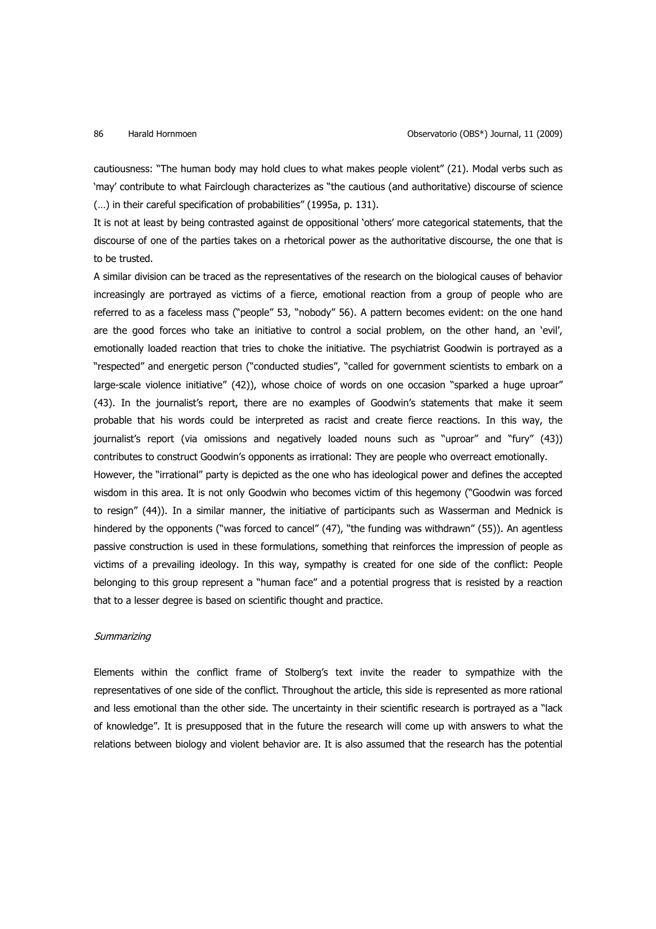cautiousness: "The human body may hold clues to what makes people violent" (21). Modal verbs such as 'may' contribute to what Fairclough characterizes as "the cautious (and authoritative) discourse of science (…) in their careful specification of probabilities" (1995a, p. 131).

It is not at least by being contrasted against de oppositional 'others' more categorical statements, that the discourse of one of the parties takes on a rhetorical power as the authoritative discourse, the one that is to be trusted.

A similar division can be traced as the representatives of the research on the biological causes of behavior increasingly are portrayed as victims of a fierce, emotional reaction from a group of people who are referred to as a faceless mass ("people" 53, "nobody" 56). A pattern becomes evident: on the one hand are the good forces who take an initiative to control a social problem, on the other hand, an 'evil', emotionally loaded reaction that tries to choke the initiative. The psychiatrist Goodwin is portrayed as a "respected" and energetic person ("conducted studies", "called for government scientists to embark on a large-scale violence initiative" (42)), whose choice of words on one occasion "sparked a huge uproar" (43). In the journalist's report, there are no examples of Goodwin's statements that make it seem probable that his words could be interpreted as racist and create fierce reactions. In this way, the journalist's report (via omissions and negatively loaded nouns such as "uproar" and "fury" (43)) contributes to construct Goodwin's opponents as irrational: They are people who overreact emotionally.

However, the "irrational" party is depicted as the one who has ideological power and defines the accepted wisdom in this area. It is not only Goodwin who becomes victim of this hegemony ("Goodwin was forced to resign" (44)). In a similar manner, the initiative of participants such as Wasserman and Mednick is hindered by the opponents ("was forced to cancel" (47), "the funding was withdrawn" (55)). An agentless passive construction is used in these formulations, something that reinforces the impression of people as victims of a prevailing ideology. In this way, sympathy is created for one side of the conflict: People belonging to this group represent a "human face" and a potential progress that is resisted by a reaction that to a lesser degree is based on scientific thought and practice.

## **Summarizing**

Elements within the conflict frame of Stolberg's text invite the reader to sympathize with the representatives of one side of the conflict. Throughout the article, this side is represented as more rational and less emotional than the other side. The uncertainty in their scientific research is portrayed as a "lack of knowledge". It is presupposed that in the future the research will come up with answers to what the relations between biology and violent behavior are. It is also assumed that the research has the potential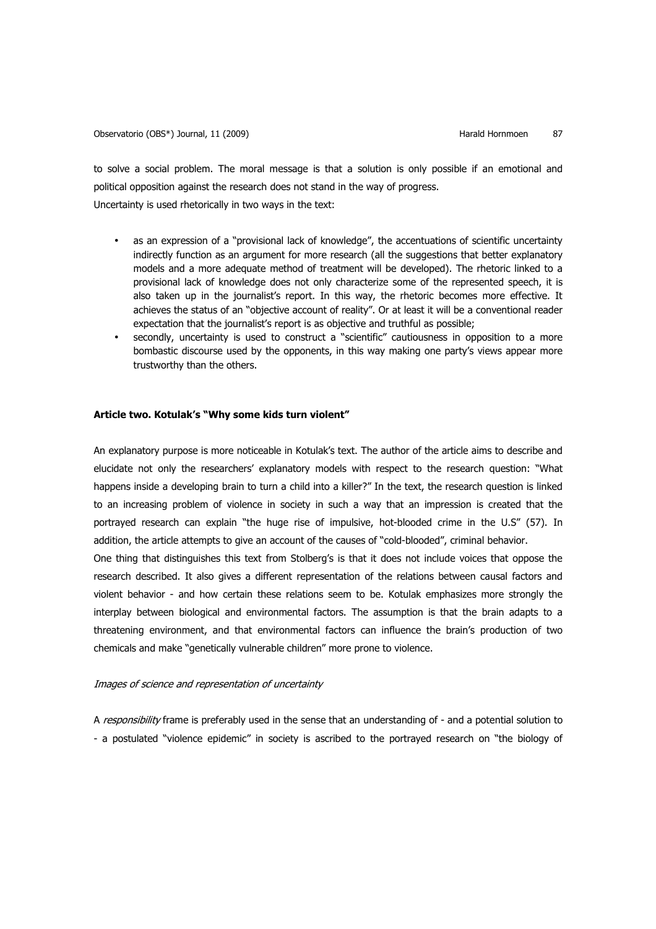to solve a social problem. The moral message is that a solution is only possible if an emotional and political opposition against the research does not stand in the way of progress. Uncertainty is used rhetorically in two ways in the text:

- as an expression of a "provisional lack of knowledge", the accentuations of scientific uncertainty indirectly function as an argument for more research (all the suggestions that better explanatory models and a more adequate method of treatment will be developed). The rhetoric linked to a provisional lack of knowledge does not only characterize some of the represented speech, it is also taken up in the journalist's report. In this way, the rhetoric becomes more effective. It achieves the status of an "objective account of reality". Or at least it will be a conventional reader expectation that the journalist's report is as objective and truthful as possible;
- secondly, uncertainty is used to construct a "scientific" cautiousness in opposition to a more bombastic discourse used by the opponents, in this way making one party's views appear more trustworthy than the others.

## **Article two. Kotulak's "Why some kids turn violent"**

An explanatory purpose is more noticeable in Kotulak's text. The author of the article aims to describe and elucidate not only the researchers' explanatory models with respect to the research question: "What happens inside a developing brain to turn a child into a killer?" In the text, the research question is linked to an increasing problem of violence in society in such a way that an impression is created that the portrayed research can explain "the huge rise of impulsive, hot-blooded crime in the U.S" (57). In addition, the article attempts to give an account of the causes of "cold-blooded", criminal behavior.

One thing that distinguishes this text from Stolberg's is that it does not include voices that oppose the research described. It also gives a different representation of the relations between causal factors and violent behavior - and how certain these relations seem to be. Kotulak emphasizes more strongly the interplay between biological and environmental factors. The assumption is that the brain adapts to a threatening environment, and that environmental factors can influence the brain's production of two chemicals and make "genetically vulnerable children" more prone to violence.

## Images of science and representation of uncertainty

A responsibility frame is preferably used in the sense that an understanding of - and a potential solution to - a postulated "violence epidemic" in society is ascribed to the portrayed research on "the biology of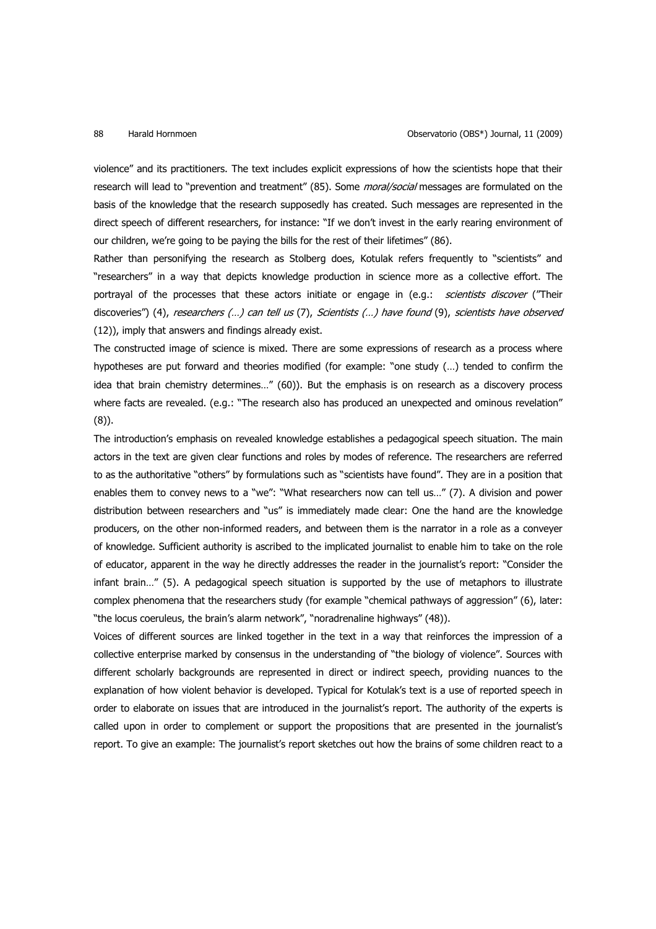violence" and its practitioners. The text includes explicit expressions of how the scientists hope that their research will lead to "prevention and treatment" (85). Some *moral/social* messages are formulated on the basis of the knowledge that the research supposedly has created. Such messages are represented in the direct speech of different researchers, for instance: "If we don't invest in the early rearing environment of our children, we're going to be paying the bills for the rest of their lifetimes" (86).

Rather than personifying the research as Stolberg does, Kotulak refers frequently to "scientists" and "researchers" in a way that depicts knowledge production in science more as a collective effort. The portrayal of the processes that these actors initiate or engage in (e.g.: scientists discover ("Their discoveries") (4), researchers (...) can tell us (7), Scientists (...) have found (9), scientists have observed (12)), imply that answers and findings already exist.

The constructed image of science is mixed. There are some expressions of research as a process where hypotheses are put forward and theories modified (for example: "one study (…) tended to confirm the idea that brain chemistry determines…" (60)). But the emphasis is on research as a discovery process where facts are revealed. (e.g.: "The research also has produced an unexpected and ominous revelation" (8)).

The introduction's emphasis on revealed knowledge establishes a pedagogical speech situation. The main actors in the text are given clear functions and roles by modes of reference. The researchers are referred to as the authoritative "others" by formulations such as "scientists have found". They are in a position that enables them to convey news to a "we": "What researchers now can tell us…" (7). A division and power distribution between researchers and "us" is immediately made clear: One the hand are the knowledge producers, on the other non-informed readers, and between them is the narrator in a role as a conveyer of knowledge. Sufficient authority is ascribed to the implicated journalist to enable him to take on the role of educator, apparent in the way he directly addresses the reader in the journalist's report: "Consider the infant brain…" (5). A pedagogical speech situation is supported by the use of metaphors to illustrate complex phenomena that the researchers study (for example "chemical pathways of aggression" (6), later: "the locus coeruleus, the brain's alarm network", "noradrenaline highways" (48)).

Voices of different sources are linked together in the text in a way that reinforces the impression of a collective enterprise marked by consensus in the understanding of "the biology of violence". Sources with different scholarly backgrounds are represented in direct or indirect speech, providing nuances to the explanation of how violent behavior is developed. Typical for Kotulak's text is a use of reported speech in order to elaborate on issues that are introduced in the journalist's report. The authority of the experts is called upon in order to complement or support the propositions that are presented in the journalist's report. To give an example: The journalist's report sketches out how the brains of some children react to a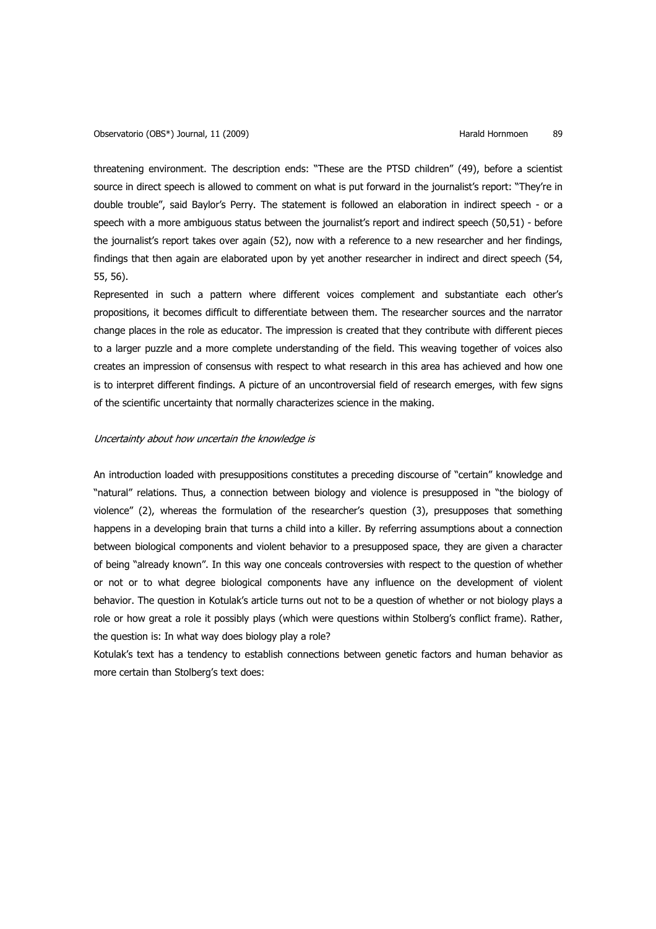threatening environment. The description ends: "These are the PTSD children" (49), before a scientist source in direct speech is allowed to comment on what is put forward in the journalist's report: "They're in double trouble", said Baylor's Perry. The statement is followed an elaboration in indirect speech - or a speech with a more ambiguous status between the journalist's report and indirect speech (50,51) - before the journalist's report takes over again (52), now with a reference to a new researcher and her findings, findings that then again are elaborated upon by yet another researcher in indirect and direct speech (54, 55, 56).

Represented in such a pattern where different voices complement and substantiate each other's propositions, it becomes difficult to differentiate between them. The researcher sources and the narrator change places in the role as educator. The impression is created that they contribute with different pieces to a larger puzzle and a more complete understanding of the field. This weaving together of voices also creates an impression of consensus with respect to what research in this area has achieved and how one is to interpret different findings. A picture of an uncontroversial field of research emerges, with few signs of the scientific uncertainty that normally characterizes science in the making.

## Uncertainty about how uncertain the knowledge is

An introduction loaded with presuppositions constitutes a preceding discourse of "certain" knowledge and "natural" relations. Thus, a connection between biology and violence is presupposed in "the biology of violence" (2), whereas the formulation of the researcher's question (3), presupposes that something happens in a developing brain that turns a child into a killer. By referring assumptions about a connection between biological components and violent behavior to a presupposed space, they are given a character of being "already known". In this way one conceals controversies with respect to the question of whether or not or to what degree biological components have any influence on the development of violent behavior. The question in Kotulak's article turns out not to be a question of whether or not biology plays a role or how great a role it possibly plays (which were questions within Stolberg's conflict frame). Rather, the question is: In what way does biology play a role?

Kotulak's text has a tendency to establish connections between genetic factors and human behavior as more certain than Stolberg's text does: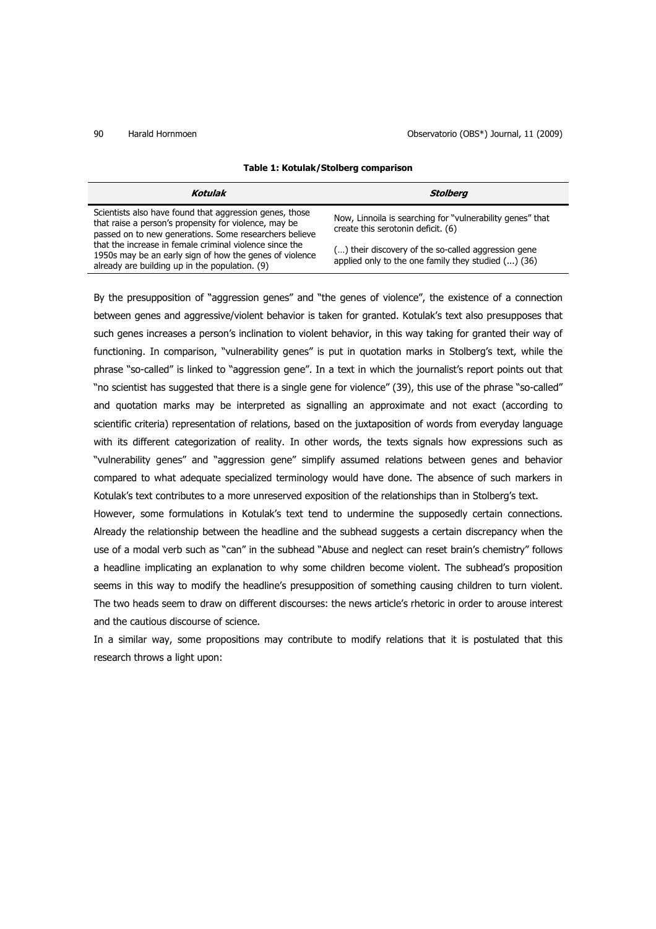| Kotulak                                                                                                                                                                    | <b>Stolberg</b>                                                                                              |
|----------------------------------------------------------------------------------------------------------------------------------------------------------------------------|--------------------------------------------------------------------------------------------------------------|
| Scientists also have found that aggression genes, those<br>that raise a person's propensity for violence, may be<br>passed on to new generations. Some researchers believe | Now, Linnoila is searching for "vulnerability genes" that<br>create this serotonin deficit. (6)              |
| that the increase in female criminal violence since the<br>1950s may be an early sign of how the genes of violence<br>already are building up in the population. (9)       | () their discovery of the so-called aggression gene<br>applied only to the one family they studied $()$ (36) |

## **Table 1: Kotulak/Stolberg comparison**

By the presupposition of "aggression genes" and "the genes of violence", the existence of a connection between genes and aggressive/violent behavior is taken for granted. Kotulak's text also presupposes that such genes increases a person's inclination to violent behavior, in this way taking for granted their way of functioning. In comparison, "vulnerability genes" is put in quotation marks in Stolberg's text, while the phrase "so-called" is linked to "aggression gene". In a text in which the journalist's report points out that "no scientist has suggested that there is a single gene for violence" (39), this use of the phrase "so-called" and quotation marks may be interpreted as signalling an approximate and not exact (according to scientific criteria) representation of relations, based on the juxtaposition of words from everyday language with its different categorization of reality. In other words, the texts signals how expressions such as "vulnerability genes" and "aggression gene" simplify assumed relations between genes and behavior compared to what adequate specialized terminology would have done. The absence of such markers in Kotulak's text contributes to a more unreserved exposition of the relationships than in Stolberg's text.

However, some formulations in Kotulak's text tend to undermine the supposedly certain connections. Already the relationship between the headline and the subhead suggests a certain discrepancy when the use of a modal verb such as "can" in the subhead "Abuse and neglect can reset brain's chemistry" follows a headline implicating an explanation to why some children become violent. The subhead's proposition seems in this way to modify the headline's presupposition of something causing children to turn violent. The two heads seem to draw on different discourses: the news article's rhetoric in order to arouse interest and the cautious discourse of science.

In a similar way, some propositions may contribute to modify relations that it is postulated that this research throws a light upon: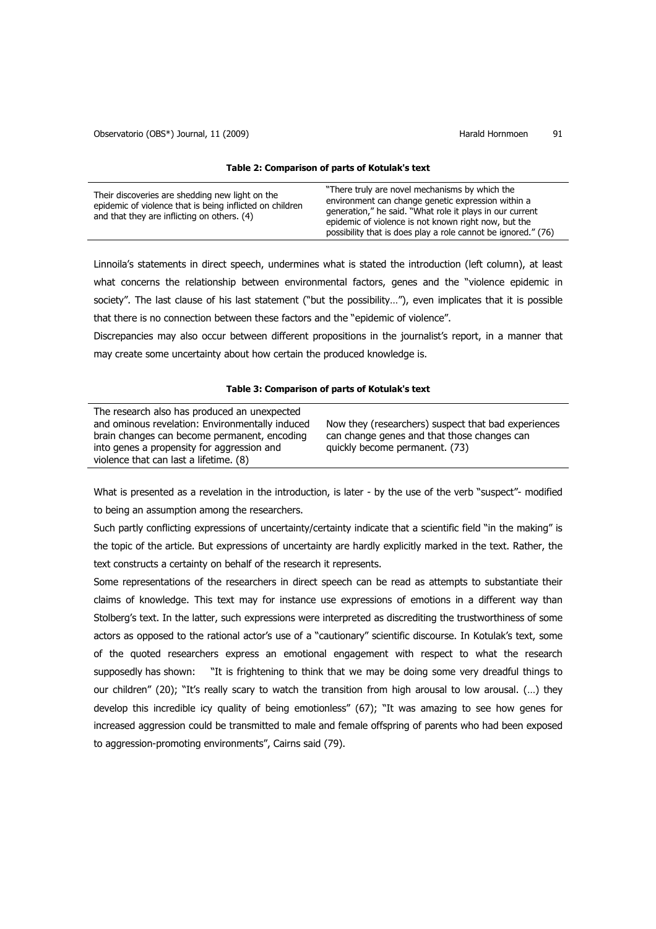### **Table 2: Comparison of parts of Kotulak's text**

| Their discoveries are shedding new light on the<br>epidemic of violence that is being inflicted on children<br>and that they are inflicting on others. (4) | "There truly are novel mechanisms by which the<br>environment can change genetic expression within a<br>generation," he said. "What role it plays in our current<br>epidemic of violence is not known right now, but the<br>possibility that is does play a role cannot be ignored." (76) |
|------------------------------------------------------------------------------------------------------------------------------------------------------------|-------------------------------------------------------------------------------------------------------------------------------------------------------------------------------------------------------------------------------------------------------------------------------------------|
|------------------------------------------------------------------------------------------------------------------------------------------------------------|-------------------------------------------------------------------------------------------------------------------------------------------------------------------------------------------------------------------------------------------------------------------------------------------|

Linnoila's statements in direct speech, undermines what is stated the introduction (left column), at least what concerns the relationship between environmental factors, genes and the "violence epidemic in society". The last clause of his last statement ("but the possibility…"), even implicates that it is possible that there is no connection between these factors and the "epidemic of violence".

Discrepancies may also occur between different propositions in the journalist's report, in a manner that may create some uncertainty about how certain the produced knowledge is.

### **Table 3: Comparison of parts of Kotulak's text**

| The research also has produced an unexpected    |  |
|-------------------------------------------------|--|
| and ominous revelation: Environmentally induced |  |
| brain changes can become permanent, encoding    |  |
| into genes a propensity for aggression and      |  |
| violence that can last a lifetime. (8)          |  |

Now they (researchers) suspect that bad experiences can change genes and that those changes can quickly become permanent. (73)

What is presented as a revelation in the introduction, is later - by the use of the verb "suspect"- modified to being an assumption among the researchers.

Such partly conflicting expressions of uncertainty/certainty indicate that a scientific field "in the making" is the topic of the article. But expressions of uncertainty are hardly explicitly marked in the text. Rather, the text constructs a certainty on behalf of the research it represents.

Some representations of the researchers in direct speech can be read as attempts to substantiate their claims of knowledge. This text may for instance use expressions of emotions in a different way than Stolberg's text. In the latter, such expressions were interpreted as discrediting the trustworthiness of some actors as opposed to the rational actor's use of a "cautionary" scientific discourse. In Kotulak's text, some of the quoted researchers express an emotional engagement with respect to what the research supposedly has shown: "It is frightening to think that we may be doing some very dreadful things to our children" (20); "It's really scary to watch the transition from high arousal to low arousal. (...) they develop this incredible icy quality of being emotionless" (67); "It was amazing to see how genes for increased aggression could be transmitted to male and female offspring of parents who had been exposed to aggression-promoting environments", Cairns said (79).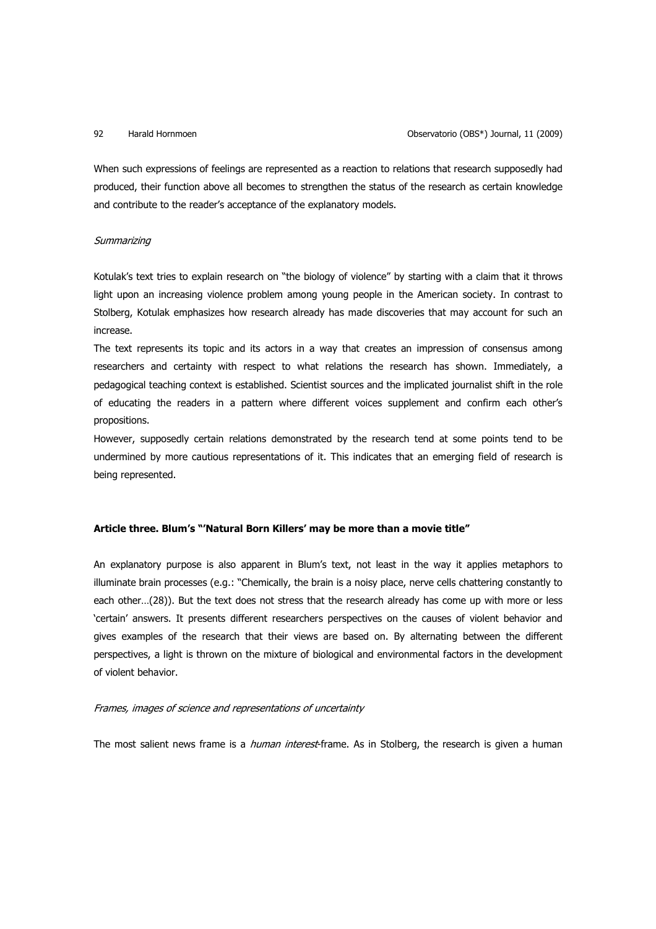When such expressions of feelings are represented as a reaction to relations that research supposedly had produced, their function above all becomes to strengthen the status of the research as certain knowledge and contribute to the reader's acceptance of the explanatory models.

## **Summarizing**

Kotulak's text tries to explain research on "the biology of violence" by starting with a claim that it throws light upon an increasing violence problem among young people in the American society. In contrast to Stolberg, Kotulak emphasizes how research already has made discoveries that may account for such an increase.

The text represents its topic and its actors in a way that creates an impression of consensus among researchers and certainty with respect to what relations the research has shown. Immediately, a pedagogical teaching context is established. Scientist sources and the implicated journalist shift in the role of educating the readers in a pattern where different voices supplement and confirm each other's propositions.

However, supposedly certain relations demonstrated by the research tend at some points tend to be undermined by more cautious representations of it. This indicates that an emerging field of research is being represented.

## **Article three. Blum's "'Natural Born Killers' may be more than a movie title"**

An explanatory purpose is also apparent in Blum's text, not least in the way it applies metaphors to illuminate brain processes (e.g.: "Chemically, the brain is a noisy place, nerve cells chattering constantly to each other…(28)). But the text does not stress that the research already has come up with more or less 'certain' answers. It presents different researchers perspectives on the causes of violent behavior and gives examples of the research that their views are based on. By alternating between the different perspectives, a light is thrown on the mixture of biological and environmental factors in the development of violent behavior.

## Frames, images of science and representations of uncertainty

The most salient news frame is a *human interest*-frame. As in Stolberg, the research is given a human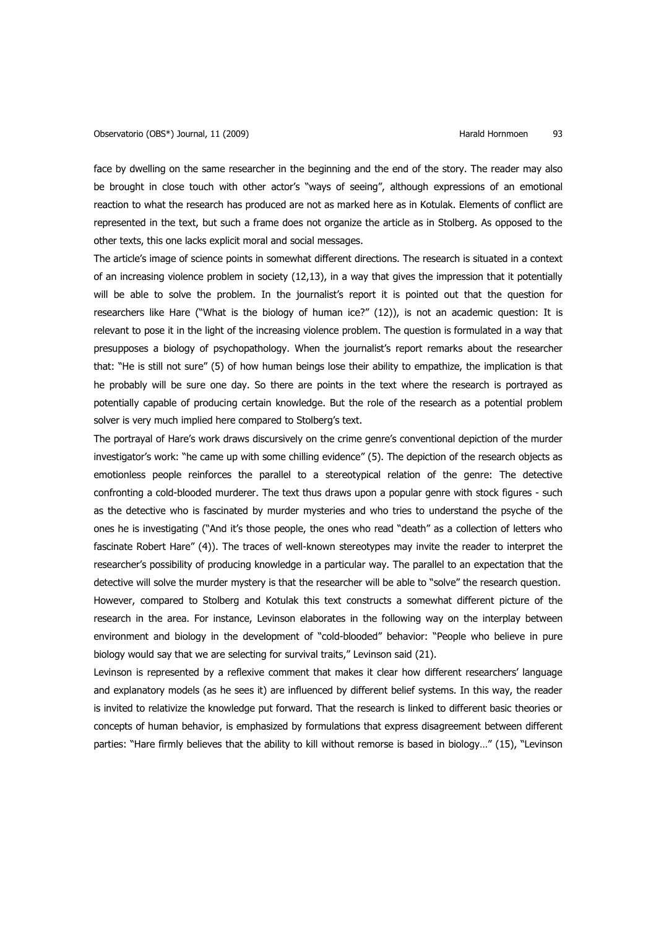face by dwelling on the same researcher in the beginning and the end of the story. The reader may also be brought in close touch with other actor's "ways of seeing", although expressions of an emotional reaction to what the research has produced are not as marked here as in Kotulak. Elements of conflict are represented in the text, but such a frame does not organize the article as in Stolberg. As opposed to the other texts, this one lacks explicit moral and social messages.

The article's image of science points in somewhat different directions. The research is situated in a context of an increasing violence problem in society (12,13), in a way that gives the impression that it potentially will be able to solve the problem. In the journalist's report it is pointed out that the question for researchers like Hare ("What is the biology of human ice?" (12)), is not an academic question: It is relevant to pose it in the light of the increasing violence problem. The question is formulated in a way that presupposes a biology of psychopathology. When the journalist's report remarks about the researcher that: "He is still not sure" (5) of how human beings lose their ability to empathize, the implication is that he probably will be sure one day. So there are points in the text where the research is portrayed as potentially capable of producing certain knowledge. But the role of the research as a potential problem solver is very much implied here compared to Stolberg's text.

The portrayal of Hare's work draws discursively on the crime genre's conventional depiction of the murder investigator's work: "he came up with some chilling evidence" (5). The depiction of the research objects as emotionless people reinforces the parallel to a stereotypical relation of the genre: The detective confronting a cold-blooded murderer. The text thus draws upon a popular genre with stock figures - such as the detective who is fascinated by murder mysteries and who tries to understand the psyche of the ones he is investigating ("And it's those people, the ones who read "death" as a collection of letters who fascinate Robert Hare" (4)). The traces of well-known stereotypes may invite the reader to interpret the researcher's possibility of producing knowledge in a particular way. The parallel to an expectation that the detective will solve the murder mystery is that the researcher will be able to "solve" the research question. However, compared to Stolberg and Kotulak this text constructs a somewhat different picture of the research in the area. For instance, Levinson elaborates in the following way on the interplay between environment and biology in the development of "cold-blooded" behavior: "People who believe in pure biology would say that we are selecting for survival traits," Levinson said (21).

Levinson is represented by a reflexive comment that makes it clear how different researchers' language and explanatory models (as he sees it) are influenced by different belief systems. In this way, the reader is invited to relativize the knowledge put forward. That the research is linked to different basic theories or concepts of human behavior, is emphasized by formulations that express disagreement between different parties: "Hare firmly believes that the ability to kill without remorse is based in biology…" (15), "Levinson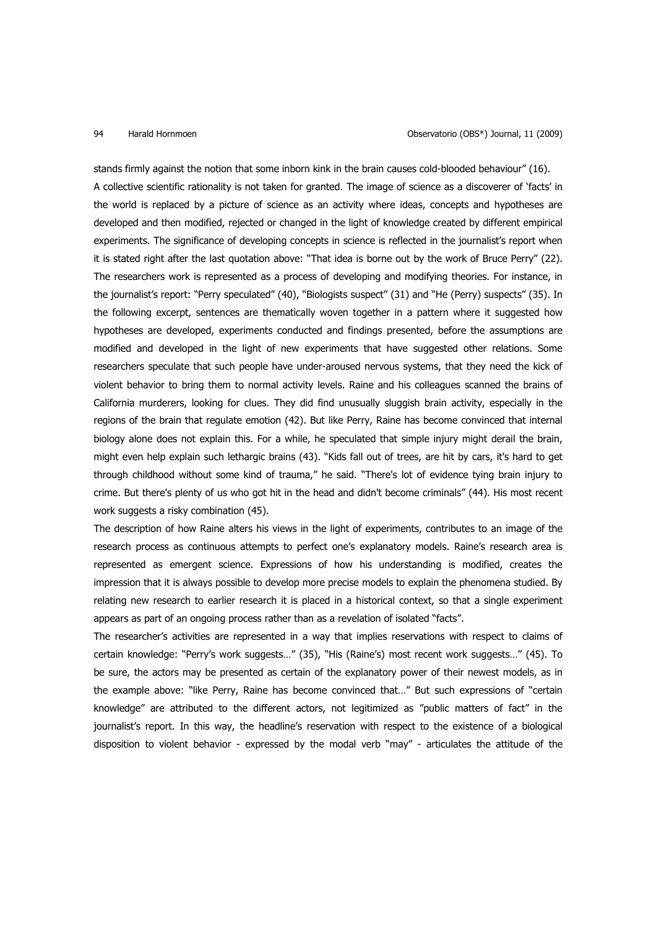stands firmly against the notion that some inborn kink in the brain causes cold-blooded behaviour" (16). A collective scientific rationality is not taken for granted. The image of science as a discoverer of 'facts' in the world is replaced by a picture of science as an activity where ideas, concepts and hypotheses are developed and then modified, rejected or changed in the light of knowledge created by different empirical experiments. The significance of developing concepts in science is reflected in the journalist's report when it is stated right after the last quotation above: "That idea is borne out by the work of Bruce Perry" (22). The researchers work is represented as a process of developing and modifying theories. For instance, in the journalist's report: "Perry speculated" (40), "Biologists suspect" (31) and "He (Perry) suspects" (35). In the following excerpt, sentences are thematically woven together in a pattern where it suggested how hypotheses are developed, experiments conducted and findings presented, before the assumptions are modified and developed in the light of new experiments that have suggested other relations. Some researchers speculate that such people have under-aroused nervous systems, that they need the kick of violent behavior to bring them to normal activity levels. Raine and his colleagues scanned the brains of California murderers, looking for clues. They did find unusually sluggish brain activity, especially in the regions of the brain that regulate emotion (42). But like Perry, Raine has become convinced that internal biology alone does not explain this. For a while, he speculated that simple injury might derail the brain, might even help explain such lethargic brains (43). "Kids fall out of trees, are hit by cars, it's hard to get through childhood without some kind of trauma," he said. "There's lot of evidence tying brain injury to crime. But there's plenty of us who got hit in the head and didn't become criminals" (44). His most recent work suggests a risky combination (45).

The description of how Raine alters his views in the light of experiments, contributes to an image of the research process as continuous attempts to perfect one's explanatory models. Raine's research area is represented as emergent science. Expressions of how his understanding is modified, creates the impression that it is always possible to develop more precise models to explain the phenomena studied. By relating new research to earlier research it is placed in a historical context, so that a single experiment appears as part of an ongoing process rather than as a revelation of isolated "facts".

The researcher's activities are represented in a way that implies reservations with respect to claims of certain knowledge: "Perry's work suggests…" (35), "His (Raine's) most recent work suggests…" (45). To be sure, the actors may be presented as certain of the explanatory power of their newest models, as in the example above: "like Perry, Raine has become convinced that…" But such expressions of "certain knowledge" are attributed to the different actors, not legitimized as "public matters of fact" in the journalist's report. In this way, the headline's reservation with respect to the existence of a biological disposition to violent behavior - expressed by the modal verb "may" - articulates the attitude of the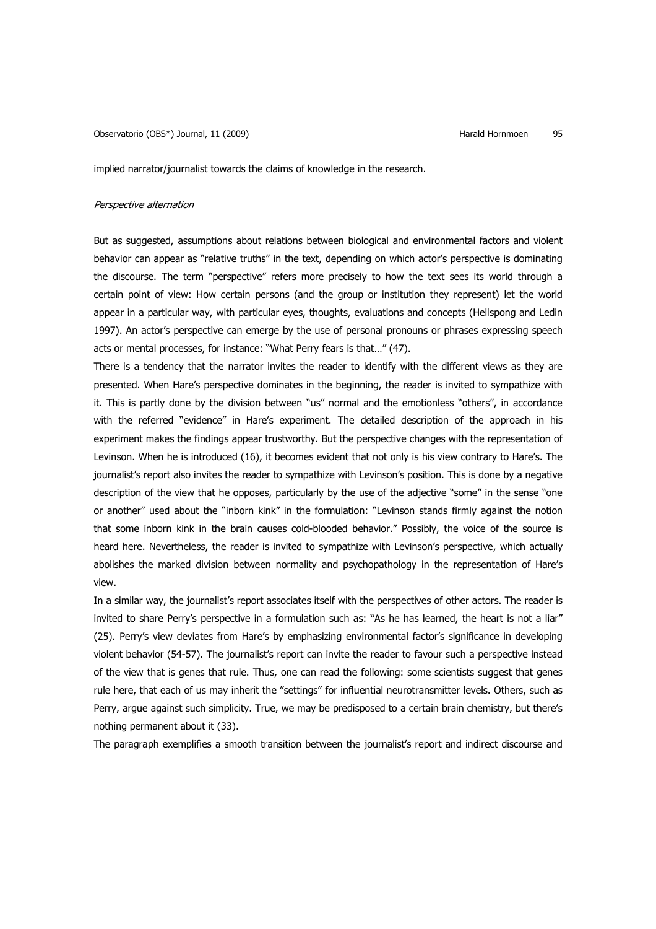Observatorio (OBS\*) Journal, 11 (2009) entrancement of the extension of the Harald Hornmoen 95

implied narrator/journalist towards the claims of knowledge in the research.

## Perspective alternation

But as suggested, assumptions about relations between biological and environmental factors and violent behavior can appear as "relative truths" in the text, depending on which actor's perspective is dominating the discourse. The term "perspective" refers more precisely to how the text sees its world through a certain point of view: How certain persons (and the group or institution they represent) let the world appear in a particular way, with particular eyes, thoughts, evaluations and concepts (Hellspong and Ledin 1997). An actor's perspective can emerge by the use of personal pronouns or phrases expressing speech acts or mental processes, for instance: "What Perry fears is that…" (47).

There is a tendency that the narrator invites the reader to identify with the different views as they are presented. When Hare's perspective dominates in the beginning, the reader is invited to sympathize with it. This is partly done by the division between "us" normal and the emotionless "others", in accordance with the referred "evidence" in Hare's experiment. The detailed description of the approach in his experiment makes the findings appear trustworthy. But the perspective changes with the representation of Levinson. When he is introduced (16), it becomes evident that not only is his view contrary to Hare's. The journalist's report also invites the reader to sympathize with Levinson's position. This is done by a negative description of the view that he opposes, particularly by the use of the adjective "some" in the sense "one or another" used about the "inborn kink" in the formulation: "Levinson stands firmly against the notion that some inborn kink in the brain causes cold-blooded behavior." Possibly, the voice of the source is heard here. Nevertheless, the reader is invited to sympathize with Levinson's perspective, which actually abolishes the marked division between normality and psychopathology in the representation of Hare's view.

In a similar way, the journalist's report associates itself with the perspectives of other actors. The reader is invited to share Perry's perspective in a formulation such as: "As he has learned, the heart is not a liar" (25). Perry's view deviates from Hare's by emphasizing environmental factor's significance in developing violent behavior (54-57). The journalist's report can invite the reader to favour such a perspective instead of the view that is genes that rule. Thus, one can read the following: some scientists suggest that genes rule here, that each of us may inherit the "settings" for influential neurotransmitter levels. Others, such as Perry, argue against such simplicity. True, we may be predisposed to a certain brain chemistry, but there's nothing permanent about it (33).

The paragraph exemplifies a smooth transition between the journalist's report and indirect discourse and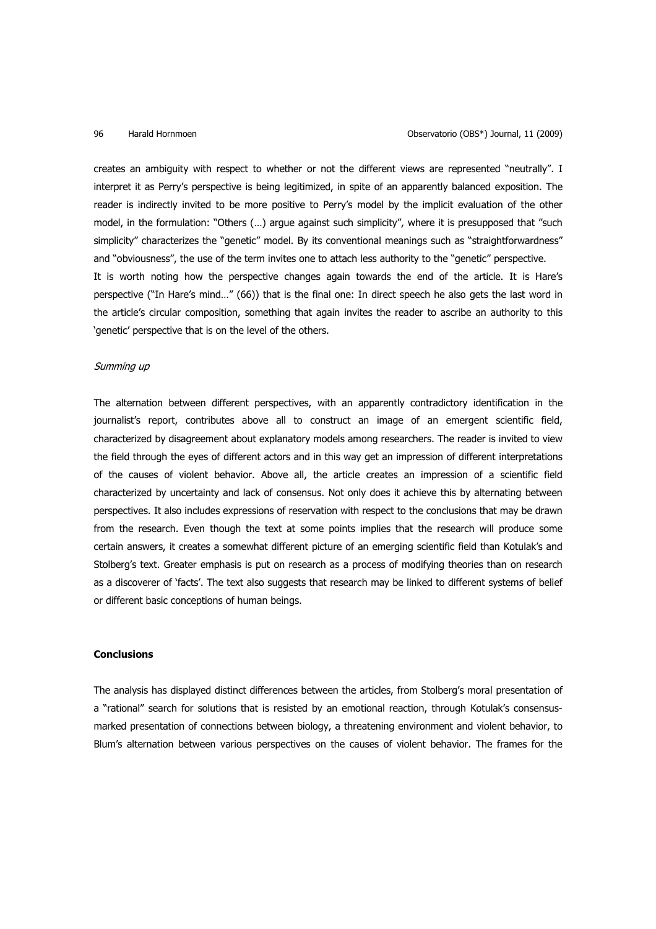creates an ambiguity with respect to whether or not the different views are represented "neutrally". I interpret it as Perry's perspective is being legitimized, in spite of an apparently balanced exposition. The reader is indirectly invited to be more positive to Perry's model by the implicit evaluation of the other model, in the formulation: "Others (...) argue against such simplicity", where it is presupposed that "such simplicity" characterizes the "genetic" model. By its conventional meanings such as "straightforwardness" and "obviousness", the use of the term invites one to attach less authority to the "genetic" perspective. It is worth noting how the perspective changes again towards the end of the article. It is Hare's perspective ("In Hare's mind…" (66)) that is the final one: In direct speech he also gets the last word in the article's circular composition, something that again invites the reader to ascribe an authority to this 'genetic' perspective that is on the level of the others.

### Summing up

The alternation between different perspectives, with an apparently contradictory identification in the journalist's report, contributes above all to construct an image of an emergent scientific field, characterized by disagreement about explanatory models among researchers. The reader is invited to view the field through the eyes of different actors and in this way get an impression of different interpretations of the causes of violent behavior. Above all, the article creates an impression of a scientific field characterized by uncertainty and lack of consensus. Not only does it achieve this by alternating between perspectives. It also includes expressions of reservation with respect to the conclusions that may be drawn from the research. Even though the text at some points implies that the research will produce some certain answers, it creates a somewhat different picture of an emerging scientific field than Kotulak's and Stolberg's text. Greater emphasis is put on research as a process of modifying theories than on research as a discoverer of 'facts'. The text also suggests that research may be linked to different systems of belief or different basic conceptions of human beings.

### **Conclusions**

The analysis has displayed distinct differences between the articles, from Stolberg's moral presentation of a "rational" search for solutions that is resisted by an emotional reaction, through Kotulak's consensusmarked presentation of connections between biology, a threatening environment and violent behavior, to Blum's alternation between various perspectives on the causes of violent behavior. The frames for the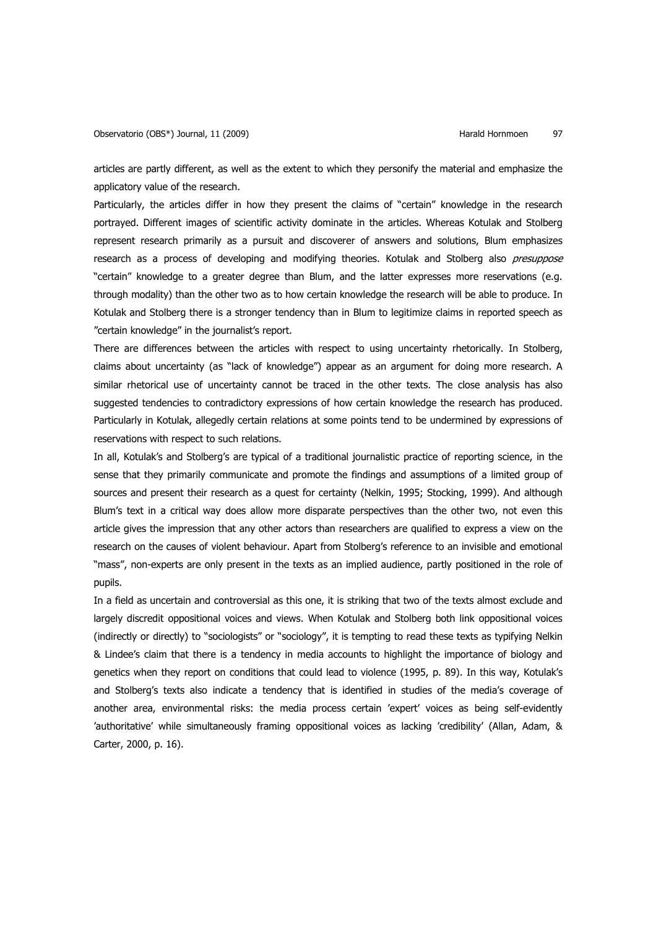articles are partly different, as well as the extent to which they personify the material and emphasize the applicatory value of the research.

Particularly, the articles differ in how they present the claims of "certain" knowledge in the research portrayed. Different images of scientific activity dominate in the articles. Whereas Kotulak and Stolberg represent research primarily as a pursuit and discoverer of answers and solutions, Blum emphasizes research as a process of developing and modifying theories. Kotulak and Stolberg also presuppose "certain" knowledge to a greater degree than Blum, and the latter expresses more reservations (e.g. through modality) than the other two as to how certain knowledge the research will be able to produce. In Kotulak and Stolberg there is a stronger tendency than in Blum to legitimize claims in reported speech as "certain knowledge" in the journalist's report.

There are differences between the articles with respect to using uncertainty rhetorically. In Stolberg, claims about uncertainty (as "lack of knowledge") appear as an argument for doing more research. A similar rhetorical use of uncertainty cannot be traced in the other texts. The close analysis has also suggested tendencies to contradictory expressions of how certain knowledge the research has produced. Particularly in Kotulak, allegedly certain relations at some points tend to be undermined by expressions of reservations with respect to such relations.

In all, Kotulak's and Stolberg's are typical of a traditional journalistic practice of reporting science, in the sense that they primarily communicate and promote the findings and assumptions of a limited group of sources and present their research as a quest for certainty (Nelkin, 1995; Stocking, 1999). And although Blum's text in a critical way does allow more disparate perspectives than the other two, not even this article gives the impression that any other actors than researchers are qualified to express a view on the research on the causes of violent behaviour. Apart from Stolberg's reference to an invisible and emotional "mass", non-experts are only present in the texts as an implied audience, partly positioned in the role of pupils.

In a field as uncertain and controversial as this one, it is striking that two of the texts almost exclude and largely discredit oppositional voices and views. When Kotulak and Stolberg both link oppositional voices (indirectly or directly) to "sociologists" or "sociology", it is tempting to read these texts as typifying Nelkin & Lindee's claim that there is a tendency in media accounts to highlight the importance of biology and genetics when they report on conditions that could lead to violence (1995, p. 89). In this way, Kotulak's and Stolberg's texts also indicate a tendency that is identified in studies of the media's coverage of another area, environmental risks: the media process certain 'expert' voices as being self-evidently 'authoritative' while simultaneously framing oppositional voices as lacking 'credibility' (Allan, Adam, & Carter, 2000, p. 16).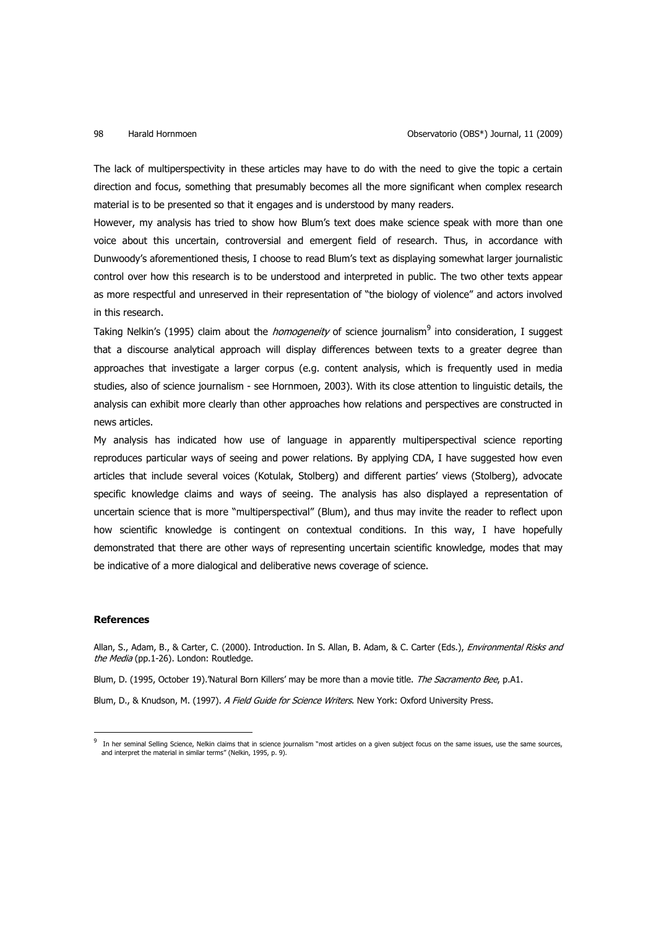The lack of multiperspectivity in these articles may have to do with the need to give the topic a certain direction and focus, something that presumably becomes all the more significant when complex research material is to be presented so that it engages and is understood by many readers.

However, my analysis has tried to show how Blum's text does make science speak with more than one voice about this uncertain, controversial and emergent field of research. Thus, in accordance with Dunwoody's aforementioned thesis, I choose to read Blum's text as displaying somewhat larger journalistic control over how this research is to be understood and interpreted in public. The two other texts appear as more respectful and unreserved in their representation of "the biology of violence" and actors involved in this research.

Taking Nelkin's (1995) claim about the *homogeneity* of science journalism<sup>9</sup> into consideration, I suggest that a discourse analytical approach will display differences between texts to a greater degree than approaches that investigate a larger corpus (e.g. content analysis, which is frequently used in media studies, also of science journalism - see Hornmoen, 2003). With its close attention to linguistic details, the analysis can exhibit more clearly than other approaches how relations and perspectives are constructed in news articles.

My analysis has indicated how use of language in apparently multiperspectival science reporting reproduces particular ways of seeing and power relations. By applying CDA, I have suggested how even articles that include several voices (Kotulak, Stolberg) and different parties' views (Stolberg), advocate specific knowledge claims and ways of seeing. The analysis has also displayed a representation of uncertain science that is more "multiperspectival" (Blum), and thus may invite the reader to reflect upon how scientific knowledge is contingent on contextual conditions. In this way, I have hopefully demonstrated that there are other ways of representing uncertain scientific knowledge, modes that may be indicative of a more dialogical and deliberative news coverage of science.

## **References**

 $\overline{a}$ 

Allan, S., Adam, B., & Carter, C. (2000). Introduction. In S. Allan, B. Adam, & C. Carter (Eds.), Environmental Risks and the Media (pp.1-26). London: Routledge.

Blum, D. (1995, October 19).'Natural Born Killers' may be more than a movie title. The Sacramento Bee, p.A1.

Blum, D., & Knudson, M. (1997). A Field Guide for Science Writers. New York: Oxford University Press.

<sup>9</sup> In her seminal Selling Science, Nelkin claims that in science journalism "most articles on a given subject focus on the same issues, use the same sources, and interpret the material in similar terms" (Nelkin, 1995, p. 9).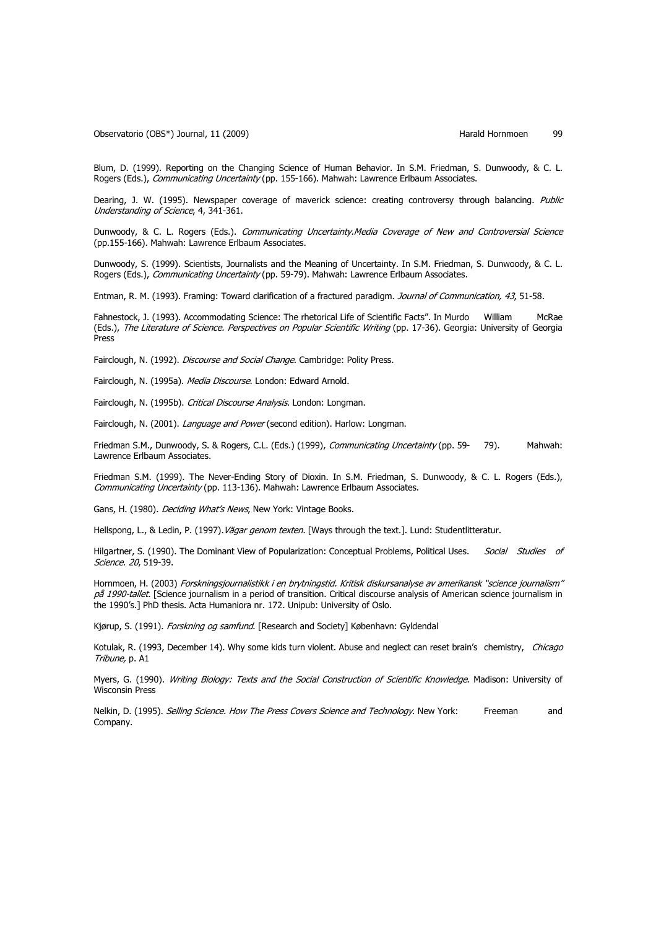Observatorio (OBS\*) Journal, 11 (2009) et al. (2009) harald Hornmoen 99

Blum, D. (1999). Reporting on the Changing Science of Human Behavior. In S.M. Friedman, S. Dunwoody, & C. L. Rogers (Eds.), Communicating Uncertainty (pp. 155-166). Mahwah: Lawrence Erlbaum Associates.

Dearing, J. W. (1995). Newspaper coverage of maverick science: creating controversy through balancing. Public Understanding of Science, 4, 341-361.

Dunwoody, & C. L. Rogers (Eds.). Communicating Uncertainty. Media Coverage of New and Controversial Science (pp.155-166). Mahwah: Lawrence Erlbaum Associates.

Dunwoody, S. (1999). Scientists, Journalists and the Meaning of Uncertainty. In S.M. Friedman, S. Dunwoody, & C. L. Rogers (Eds.), Communicating Uncertainty (pp. 59-79). Mahwah: Lawrence Erlbaum Associates.

Entman, R. M. (1993). Framing: Toward clarification of a fractured paradigm. Journal of Communication, 43, 51-58.

Fahnestock, J. (1993). Accommodating Science: The rhetorical Life of Scientific Facts". In Murdo William McRae (Eds.), The Literature of Science. Perspectives on Popular Scientific Writing (pp. 17-36). Georgia: University of Georgia Press

Fairclough, N. (1992). Discourse and Social Change. Cambridge: Polity Press.

Fairclough, N. (1995a). Media Discourse. London: Edward Arnold.

Fairclough, N. (1995b). Critical Discourse Analysis. London: Longman.

Fairclough, N. (2001). Language and Power (second edition). Harlow: Longman.

Friedman S.M., Dunwoody, S. & Rogers, C.L. (Eds.) (1999), Communicating Uncertainty (pp. 59- 79). Mahwah: Lawrence Erlbaum Associates.

Friedman S.M. (1999). The Never-Ending Story of Dioxin. In S.M. Friedman, S. Dunwoody, & C. L. Rogers (Eds.), Communicating Uncertainty (pp. 113-136). Mahwah: Lawrence Erlbaum Associates.

Gans, H. (1980). *Deciding What's News*, New York: Vintage Books.

Hellspong, L., & Ledin, P. (1997). Vägar genom texten. [Ways through the text.]. Lund: Studentlitteratur.

Hilgartner, S. (1990). The Dominant View of Popularization: Conceptual Problems, Political Uses. Social Studies of Science. 20, 519-39.

Hornmoen, H. (2003) Forskningsjournalistikk i en brytningstid. Kritisk diskursanalyse av amerikansk "science journalism" på 1990-tallet. [Science journalism in a period of transition. Critical discourse analysis of American science journalism in the 1990's.] PhD thesis. Acta Humaniora nr. 172. Unipub: University of Oslo.

Kjørup, S. (1991). Forskning og samfund. [Research and Society] København: Gyldendal

Kotulak, R. (1993, December 14). Why some kids turn violent. Abuse and neglect can reset brain's chemistry, Chicago Tribune, p. A1

Myers, G. (1990). Writing Biology: Texts and the Social Construction of Scientific Knowledge. Madison: University of Wisconsin Press

Nelkin, D. (1995). Selling Science. How The Press Covers Science and Technology. New York: Freeman and Company.